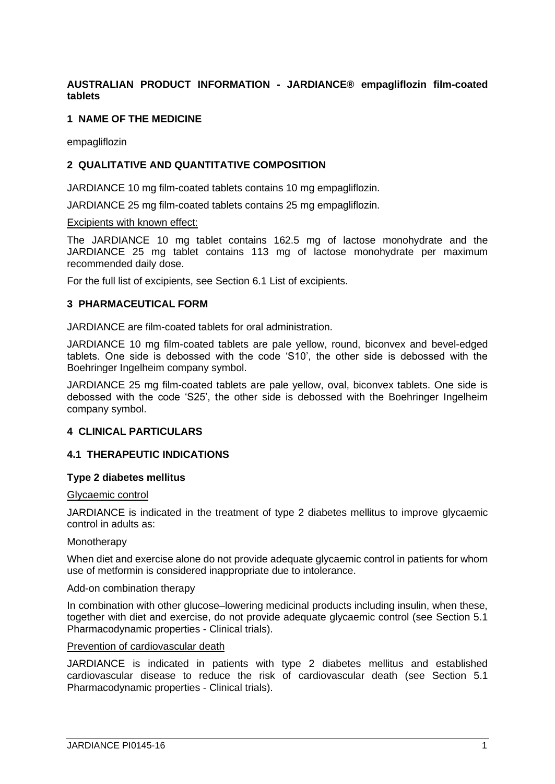# **AUSTRALIAN PRODUCT INFORMATION - JARDIANCE® empagliflozin film-coated tablets**

## **1 NAME OF THE MEDICINE**

empagliflozin

# **2 QUALITATIVE AND QUANTITATIVE COMPOSITION**

JARDIANCE 10 mg film-coated tablets contains 10 mg empagliflozin.

JARDIANCE 25 mg film-coated tablets contains 25 mg empagliflozin.

#### Excipients with known effect:

The JARDIANCE 10 mg tablet contains 162.5 mg of lactose monohydrate and the JARDIANCE 25 mg tablet contains 113 mg of lactose monohydrate per maximum recommended daily dose.

For the full list of excipients, see Section 6.1 List of excipients.

## **3 PHARMACEUTICAL FORM**

JARDIANCE are film-coated tablets for oral administration.

JARDIANCE 10 mg film-coated tablets are pale yellow, round, biconvex and bevel-edged tablets. One side is debossed with the code 'S10', the other side is debossed with the Boehringer Ingelheim company symbol.

JARDIANCE 25 mg film-coated tablets are pale yellow, oval, biconvex tablets. One side is debossed with the code 'S25', the other side is debossed with the Boehringer Ingelheim company symbol.

## **4 CLINICAL PARTICULARS**

## **4.1 THERAPEUTIC INDICATIONS**

#### **Type 2 diabetes mellitus**

#### Glycaemic control

JARDIANCE is indicated in the treatment of type 2 diabetes mellitus to improve glycaemic control in adults as:

#### **Monotherapy**

When diet and exercise alone do not provide adequate glycaemic control in patients for whom use of metformin is considered inappropriate due to intolerance.

#### Add-on combination therapy

In combination with other glucose–lowering medicinal products including insulin, when these, together with diet and exercise, do not provide adequate glycaemic control (see Section 5.1 Pharmacodynamic properties - Clinical trials).

#### Prevention of cardiovascular death

JARDIANCE is indicated in patients with type 2 diabetes mellitus and established cardiovascular disease to reduce the risk of cardiovascular death (see Section 5.1 Pharmacodynamic properties - Clinical trials).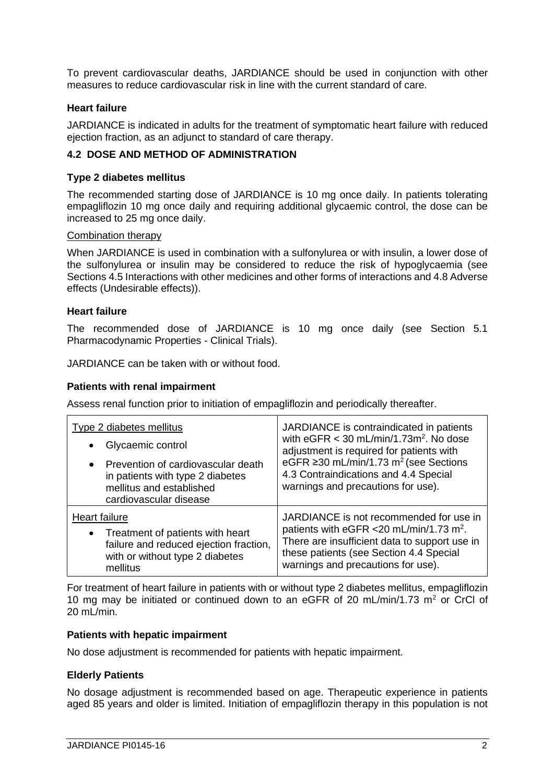To prevent cardiovascular deaths, JARDIANCE should be used in conjunction with other measures to reduce cardiovascular risk in line with the current standard of care.

# **Heart failure**

JARDIANCE is indicated in adults for the treatment of symptomatic heart failure with reduced ejection fraction, as an adjunct to standard of care therapy.

# **4.2 DOSE AND METHOD OF ADMINISTRATION**

## **Type 2 diabetes mellitus**

The recommended starting dose of JARDIANCE is 10 mg once daily. In patients tolerating empagliflozin 10 mg once daily and requiring additional glycaemic control, the dose can be increased to 25 mg once daily.

#### Combination therapy

When JARDIANCE is used in combination with a sulfonylurea or with insulin, a lower dose of the sulfonylurea or insulin may be considered to reduce the risk of hypoglycaemia (see Sections 4.5 Interactions with other medicines and other forms of interactions and 4.8 Adverse effects (Undesirable effects)).

## **Heart failure**

The recommended dose of JARDIANCE is 10 mg once daily (see Section 5.1 Pharmacodynamic Properties - Clinical Trials).

JARDIANCE can be taken with or without food.

## **Patients with renal impairment**

Assess renal function prior to initiation of empagliflozin and periodically thereafter.

| Type 2 diabetes mellitus               | JARDIANCE is contraindicated in patients             |
|----------------------------------------|------------------------------------------------------|
| Glycaemic control                      | with $eGFR < 30$ mL/min/1.73m <sup>2</sup> . No dose |
| Prevention of cardiovascular death     | adjustment is required for patients with             |
| in patients with type 2 diabetes       | eGFR ≥30 mL/min/1.73 m <sup>2</sup> (see Sections    |
| mellitus and established               | 4.3 Contraindications and 4.4 Special                |
| cardiovascular disease                 | warnings and precautions for use).                   |
| Heart failure                          | JARDIANCE is not recommended for use in              |
| Treatment of patients with heart       | patients with eGFR <20 mL/min/1.73 m <sup>2</sup> .  |
| failure and reduced ejection fraction, | There are insufficient data to support use in        |
| with or without type 2 diabetes        | these patients (see Section 4.4 Special              |
| mellitus                               | warnings and precautions for use).                   |

For treatment of heart failure in patients with or without type 2 diabetes mellitus, empagliflozin 10 mg may be initiated or continued down to an eGFR of 20 mL/min/1.73 m<sup>2</sup> or CrCl of 20 mL/min.

#### **Patients with hepatic impairment**

No dose adjustment is recommended for patients with hepatic impairment.

## **Elderly Patients**

No dosage adjustment is recommended based on age. Therapeutic experience in patients aged 85 years and older is limited. Initiation of empagliflozin therapy in this population is not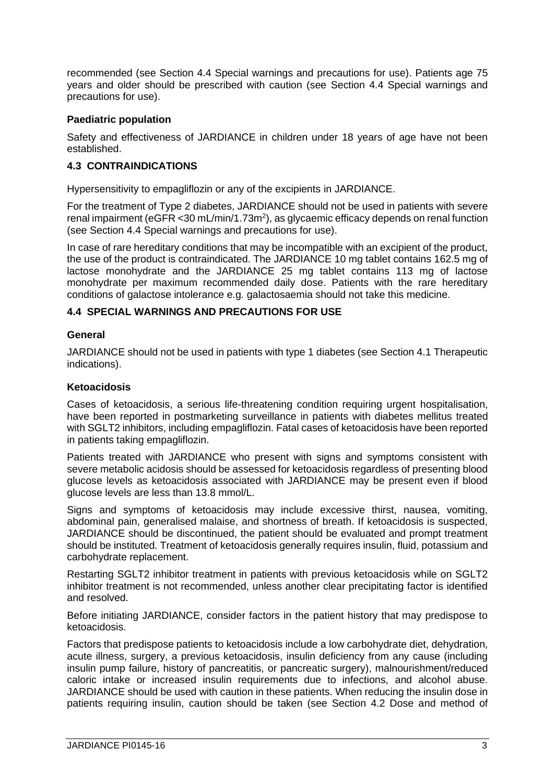recommended (see Section 4.4 Special warnings and precautions for use). Patients age 75 years and older should be prescribed with caution (see Section 4.4 Special warnings and precautions for use).

# **Paediatric population**

Safety and effectiveness of JARDIANCE in children under 18 years of age have not been established.

# **4.3 CONTRAINDICATIONS**

Hypersensitivity to empagliflozin or any of the excipients in JARDIANCE.

For the treatment of Type 2 diabetes, JARDIANCE should not be used in patients with severe renal impairment (eGFR < 30 mL/min/1.73m<sup>2</sup>), as glycaemic efficacy depends on renal function (see Section 4.4 Special warnings and precautions for use).

In case of rare hereditary conditions that may be incompatible with an excipient of the product, the use of the product is contraindicated. The JARDIANCE 10 mg tablet contains 162.5 mg of lactose monohydrate and the JARDIANCE 25 mg tablet contains 113 mg of lactose monohydrate per maximum recommended daily dose. Patients with the rare hereditary conditions of galactose intolerance e.g. galactosaemia should not take this medicine.

## **4.4 SPECIAL WARNINGS AND PRECAUTIONS FOR USE**

## **General**

JARDIANCE should not be used in patients with type 1 diabetes (see Section 4.1 Therapeutic indications).

# **Ketoacidosis**

Cases of ketoacidosis, a serious life-threatening condition requiring urgent hospitalisation, have been reported in postmarketing surveillance in patients with diabetes mellitus treated with SGLT2 inhibitors, including empagliflozin. Fatal cases of ketoacidosis have been reported in patients taking empagliflozin.

Patients treated with JARDIANCE who present with signs and symptoms consistent with severe metabolic acidosis should be assessed for ketoacidosis regardless of presenting blood glucose levels as ketoacidosis associated with JARDIANCE may be present even if blood glucose levels are less than 13.8 mmol/L.

Signs and symptoms of ketoacidosis may include excessive thirst, nausea, vomiting, abdominal pain, generalised malaise, and shortness of breath. If ketoacidosis is suspected, JARDIANCE should be discontinued, the patient should be evaluated and prompt treatment should be instituted. Treatment of ketoacidosis generally requires insulin, fluid, potassium and carbohydrate replacement.

Restarting SGLT2 inhibitor treatment in patients with previous ketoacidosis while on SGLT2 inhibitor treatment is not recommended, unless another clear precipitating factor is identified and resolved.

Before initiating JARDIANCE, consider factors in the patient history that may predispose to ketoacidosis.

Factors that predispose patients to ketoacidosis include a low carbohydrate diet, dehydration, acute illness, surgery, a previous ketoacidosis, insulin deficiency from any cause (including insulin pump failure, history of pancreatitis, or pancreatic surgery), malnourishment/reduced caloric intake or increased insulin requirements due to infections, and alcohol abuse. JARDIANCE should be used with caution in these patients. When reducing the insulin dose in patients requiring insulin, caution should be taken (see Section 4.2 Dose and method of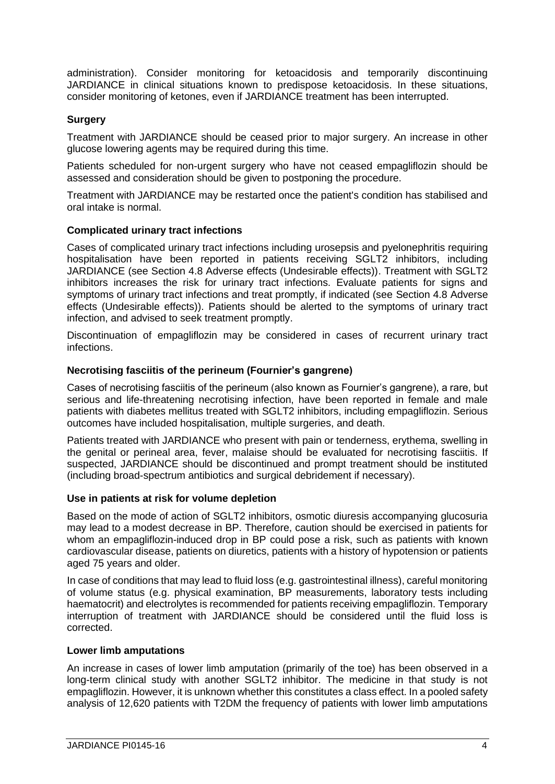administration). Consider monitoring for ketoacidosis and temporarily discontinuing JARDIANCE in clinical situations known to predispose ketoacidosis. In these situations, consider monitoring of ketones, even if JARDIANCE treatment has been interrupted.

# **Surgery**

Treatment with JARDIANCE should be ceased prior to major surgery. An increase in other glucose lowering agents may be required during this time.

Patients scheduled for non-urgent surgery who have not ceased empagliflozin should be assessed and consideration should be given to postponing the procedure.

Treatment with JARDIANCE may be restarted once the patient's condition has stabilised and oral intake is normal.

## **Complicated urinary tract infections**

Cases of complicated urinary tract infections including urosepsis and pyelonephritis requiring hospitalisation have been reported in patients receiving SGLT2 inhibitors, including JARDIANCE (see Section 4.8 Adverse effects (Undesirable effects)). Treatment with SGLT2 inhibitors increases the risk for urinary tract infections. Evaluate patients for signs and symptoms of urinary tract infections and treat promptly, if indicated (see Section 4.8 Adverse effects (Undesirable effects)). Patients should be alerted to the symptoms of urinary tract infection, and advised to seek treatment promptly.

Discontinuation of empagliflozin may be considered in cases of recurrent urinary tract infections.

## **Necrotising fasciitis of the perineum (Fournier's gangrene)**

Cases of necrotising fasciitis of the perineum (also known as Fournier's gangrene), a rare, but serious and life-threatening necrotising infection, have been reported in female and male patients with diabetes mellitus treated with SGLT2 inhibitors, including empagliflozin. Serious outcomes have included hospitalisation, multiple surgeries, and death.

Patients treated with JARDIANCE who present with pain or tenderness, erythema, swelling in the genital or perineal area, fever, malaise should be evaluated for necrotising fasciitis. If suspected, JARDIANCE should be discontinued and prompt treatment should be instituted (including broad-spectrum antibiotics and surgical debridement if necessary).

## **Use in patients at risk for volume depletion**

Based on the mode of action of SGLT2 inhibitors, osmotic diuresis accompanying glucosuria may lead to a modest decrease in BP. Therefore, caution should be exercised in patients for whom an empagliflozin-induced drop in BP could pose a risk, such as patients with known cardiovascular disease, patients on diuretics, patients with a history of hypotension or patients aged 75 years and older.

In case of conditions that may lead to fluid loss (e.g. gastrointestinal illness), careful monitoring of volume status (e.g. physical examination, BP measurements, laboratory tests including haematocrit) and electrolytes is recommended for patients receiving empagliflozin. Temporary interruption of treatment with JARDIANCE should be considered until the fluid loss is corrected.

#### **Lower limb amputations**

An increase in cases of lower limb amputation (primarily of the toe) has been observed in a long-term clinical study with another SGLT2 inhibitor. The medicine in that study is not empagliflozin. However, it is unknown whether this constitutes a class effect. In a pooled safety analysis of 12,620 patients with T2DM the frequency of patients with lower limb amputations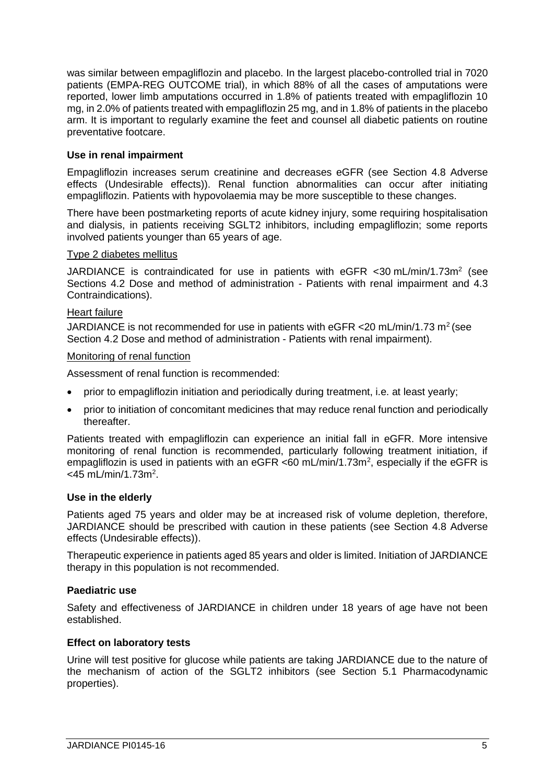was similar between empagliflozin and placebo. In the largest placebo-controlled trial in 7020 patients (EMPA-REG OUTCOME trial), in which 88% of all the cases of amputations were reported, lower limb amputations occurred in 1.8% of patients treated with empagliflozin 10 mg, in 2.0% of patients treated with empagliflozin 25 mg, and in 1.8% of patients in the placebo arm. It is important to regularly examine the feet and counsel all diabetic patients on routine preventative footcare.

# **Use in renal impairment**

Empagliflozin increases serum creatinine and decreases eGFR (see Section 4.8 Adverse effects (Undesirable effects)). Renal function abnormalities can occur after initiating empagliflozin. Patients with hypovolaemia may be more susceptible to these changes.

There have been postmarketing reports of acute kidney injury, some requiring hospitalisation and dialysis, in patients receiving SGLT2 inhibitors, including empagliflozin; some reports involved patients younger than 65 years of age.

## Type 2 diabetes mellitus

JARDIANCE is contraindicated for use in patients with  $e$ GFR < 30 mL/min/1.73m<sup>2</sup> (see Sections 4.2 Dose and method of administration - Patients with renal impairment and 4.3 Contraindications).

## Heart failure

JARDIANCE is not recommended for use in patients with eGFR < 20 mL/min/1.73 m<sup>2</sup> (see Section 4.2 Dose and method of administration - Patients with renal impairment).

## Monitoring of renal function

Assessment of renal function is recommended:

- prior to empagliflozin initiation and periodically during treatment, i.e. at least yearly;
- prior to initiation of concomitant medicines that may reduce renal function and periodically thereafter.

Patients treated with empagliflozin can experience an initial fall in eGFR. More intensive monitoring of renal function is recommended, particularly following treatment initiation, if empagliflozin is used in patients with an eGFR <60 mL/min/1.73m<sup>2</sup>, especially if the eGFR is <45 mL/min/1.73m<sup>2</sup>.

## **Use in the elderly**

Patients aged 75 years and older may be at increased risk of volume depletion, therefore, JARDIANCE should be prescribed with caution in these patients (see Section 4.8 Adverse effects (Undesirable effects)).

Therapeutic experience in patients aged 85 years and older is limited. Initiation of JARDIANCE therapy in this population is not recommended.

## **Paediatric use**

Safety and effectiveness of JARDIANCE in children under 18 years of age have not been established.

## **Effect on laboratory tests**

Urine will test positive for glucose while patients are taking JARDIANCE due to the nature of the mechanism of action of the SGLT2 inhibitors (see Section 5.1 Pharmacodynamic properties).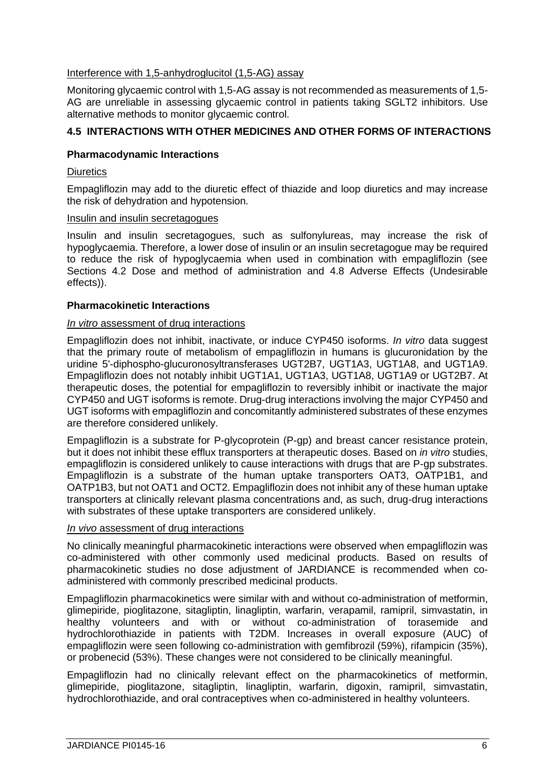## Interference with 1,5-anhydroglucitol (1,5-AG) assay

Monitoring glycaemic control with 1,5-AG assay is not recommended as measurements of 1,5- AG are unreliable in assessing glycaemic control in patients taking SGLT2 inhibitors. Use alternative methods to monitor glycaemic control.

# **4.5 INTERACTIONS WITH OTHER MEDICINES AND OTHER FORMS OF INTERACTIONS**

## **Pharmacodynamic Interactions**

#### **Diuretics**

Empagliflozin may add to the diuretic effect of thiazide and loop diuretics and may increase the risk of dehydration and hypotension.

#### Insulin and insulin secretagogues

Insulin and insulin secretagogues, such as sulfonylureas, may increase the risk of hypoglycaemia. Therefore, a lower dose of insulin or an insulin secretagogue may be required to reduce the risk of hypoglycaemia when used in combination with empagliflozin (see Sections 4.2 Dose and method of administration and 4.8 Adverse Effects (Undesirable effects)).

#### **Pharmacokinetic Interactions**

#### *In vitro* assessment of drug interactions

Empagliflozin does not inhibit, inactivate, or induce CYP450 isoforms. *In vitro* data suggest that the primary route of metabolism of empagliflozin in humans is glucuronidation by the uridine 5'-diphospho-glucuronosyltransferases UGT2B7, UGT1A3, UGT1A8, and UGT1A9. Empagliflozin does not notably inhibit UGT1A1, UGT1A3, UGT1A8, UGT1A9 or UGT2B7. At therapeutic doses, the potential for empagliflozin to reversibly inhibit or inactivate the major CYP450 and UGT isoforms is remote. Drug-drug interactions involving the major CYP450 and UGT isoforms with empagliflozin and concomitantly administered substrates of these enzymes are therefore considered unlikely.

Empagliflozin is a substrate for P-glycoprotein (P-gp) and breast cancer resistance protein, but it does not inhibit these efflux transporters at therapeutic doses. Based on *in vitro* studies, empagliflozin is considered unlikely to cause interactions with drugs that are P-gp substrates. Empagliflozin is a substrate of the human uptake transporters OAT3, OATP1B1, and OATP1B3, but not OAT1 and OCT2. Empagliflozin does not inhibit any of these human uptake transporters at clinically relevant plasma concentrations and, as such, drug-drug interactions with substrates of these uptake transporters are considered unlikely.

#### *In vivo* assessment of drug interactions

No clinically meaningful pharmacokinetic interactions were observed when empagliflozin was co-administered with other commonly used medicinal products. Based on results of pharmacokinetic studies no dose adjustment of JARDIANCE is recommended when coadministered with commonly prescribed medicinal products.

Empagliflozin pharmacokinetics were similar with and without co-administration of metformin, glimepiride, pioglitazone, sitagliptin, linagliptin, warfarin, verapamil, ramipril, simvastatin, in healthy volunteers and with or without co-administration of torasemide and hydrochlorothiazide in patients with T2DM. Increases in overall exposure (AUC) of empagliflozin were seen following co-administration with gemfibrozil (59%), rifampicin (35%), or probenecid (53%). These changes were not considered to be clinically meaningful.

Empagliflozin had no clinically relevant effect on the pharmacokinetics of metformin, glimepiride, pioglitazone, sitagliptin, linagliptin, warfarin, digoxin, ramipril, simvastatin, hydrochlorothiazide, and oral contraceptives when co-administered in healthy volunteers.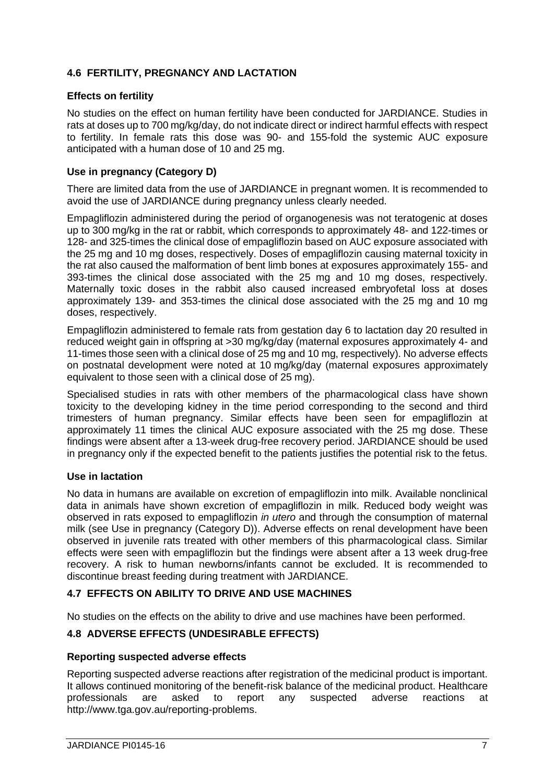# **4.6 FERTILITY, PREGNANCY AND LACTATION**

# **Effects on fertility**

No studies on the effect on human fertility have been conducted for JARDIANCE. Studies in rats at doses up to 700 mg/kg/day, do not indicate direct or indirect harmful effects with respect to fertility. In female rats this dose was 90- and 155-fold the systemic AUC exposure anticipated with a human dose of 10 and 25 mg.

# **Use in pregnancy (Category D)**

There are limited data from the use of JARDIANCE in pregnant women. It is recommended to avoid the use of JARDIANCE during pregnancy unless clearly needed.

Empagliflozin administered during the period of organogenesis was not teratogenic at doses up to 300 mg/kg in the rat or rabbit, which corresponds to approximately 48- and 122-times or 128- and 325-times the clinical dose of empagliflozin based on AUC exposure associated with the 25 mg and 10 mg doses, respectively. Doses of empagliflozin causing maternal toxicity in the rat also caused the malformation of bent limb bones at exposures approximately 155- and 393-times the clinical dose associated with the 25 mg and 10 mg doses, respectively. Maternally toxic doses in the rabbit also caused increased embryofetal loss at doses approximately 139- and 353-times the clinical dose associated with the 25 mg and 10 mg doses, respectively.

Empagliflozin administered to female rats from gestation day 6 to lactation day 20 resulted in reduced weight gain in offspring at >30 mg/kg/day (maternal exposures approximately 4- and 11-times those seen with a clinical dose of 25 mg and 10 mg, respectively). No adverse effects on postnatal development were noted at 10 mg/kg/day (maternal exposures approximately equivalent to those seen with a clinical dose of 25 mg).

Specialised studies in rats with other members of the pharmacological class have shown toxicity to the developing kidney in the time period corresponding to the second and third trimesters of human pregnancy. Similar effects have been seen for empagliflozin at approximately 11 times the clinical AUC exposure associated with the 25 mg dose. These findings were absent after a 13-week drug-free recovery period. JARDIANCE should be used in pregnancy only if the expected benefit to the patients justifies the potential risk to the fetus.

## **Use in lactation**

No data in humans are available on excretion of empagliflozin into milk. Available nonclinical data in animals have shown excretion of empagliflozin in milk. Reduced body weight was observed in rats exposed to empagliflozin *in utero* and through the consumption of maternal milk (see Use in pregnancy (Category D)). Adverse effects on renal development have been observed in juvenile rats treated with other members of this pharmacological class. Similar effects were seen with empagliflozin but the findings were absent after a 13 week drug-free recovery. A risk to human newborns/infants cannot be excluded. It is recommended to discontinue breast feeding during treatment with JARDIANCE.

## **4.7 EFFECTS ON ABILITY TO DRIVE AND USE MACHINES**

No studies on the effects on the ability to drive and use machines have been performed.

# **4.8 ADVERSE EFFECTS (UNDESIRABLE EFFECTS)**

## **Reporting suspected adverse effects**

Reporting suspected adverse reactions after registration of the medicinal product is important. It allows continued monitoring of the benefit-risk balance of the medicinal product. Healthcare professionals are asked to report any suspected adverse reactions at http:/[/www.tga.gov.au/reporting-problems.](http://www.tga.gov.au/reporting-problems)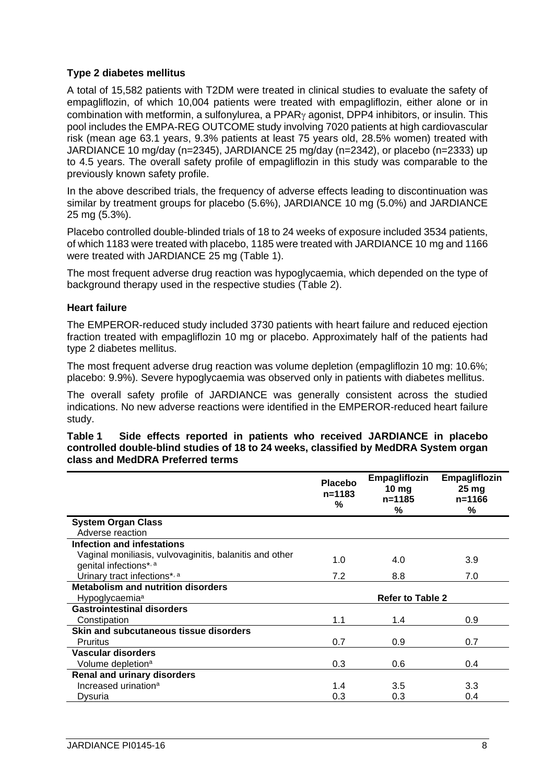## **Type 2 diabetes mellitus**

A total of 15,582 patients with T2DM were treated in clinical studies to evaluate the safety of empagliflozin, of which 10,004 patients were treated with empagliflozin, either alone or in combination with metformin, a sulfonylurea, a PPAR $\gamma$  agonist, DPP4 inhibitors, or insulin. This pool includes the EMPA-REG OUTCOME study involving 7020 patients at high cardiovascular risk (mean age 63.1 years, 9.3% patients at least 75 years old, 28.5% women) treated with JARDIANCE 10 mg/day (n=2345), JARDIANCE 25 mg/day (n=2342), or placebo (n=2333) up to 4.5 years. The overall safety profile of empagliflozin in this study was comparable to the previously known safety profile.

In the above described trials, the frequency of adverse effects leading to discontinuation was similar by treatment groups for placebo (5.6%), JARDIANCE 10 mg (5.0%) and JARDIANCE 25 mg (5.3%).

Placebo controlled double-blinded trials of 18 to 24 weeks of exposure included 3534 patients, of which 1183 were treated with placebo, 1185 were treated with JARDIANCE 10 mg and 1166 were treated with JARDIANCE 25 mg (Table 1).

The most frequent adverse drug reaction was hypoglycaemia, which depended on the type of background therapy used in the respective studies (Table 2).

## **Heart failure**

The EMPEROR-reduced study included 3730 patients with heart failure and reduced ejection fraction treated with empagliflozin 10 mg or placebo. Approximately half of the patients had type 2 diabetes mellitus.

The most frequent adverse drug reaction was volume depletion (empagliflozin 10 mg: 10.6%; placebo: 9.9%). Severe hypoglycaemia was observed only in patients with diabetes mellitus.

The overall safety profile of JARDIANCE was generally consistent across the studied indications. No new adverse reactions were identified in the EMPEROR-reduced heart failure study.

#### **Table 1 Side effects reported in patients who received JARDIANCE in placebo controlled double-blind studies of 18 to 24 weeks, classified by MedDRA System organ class and MedDRA Preferred terms**

|                                                                                   | <b>Placebo</b><br>$n = 1183$<br>% | Empagliflozin<br>10 <sub>mg</sub><br>n=1185<br>℅ | Empagliflozin<br>$25 \,\mathrm{mg}$<br>n=1166<br>% |
|-----------------------------------------------------------------------------------|-----------------------------------|--------------------------------------------------|----------------------------------------------------|
| <b>System Organ Class</b>                                                         |                                   |                                                  |                                                    |
| Adverse reaction                                                                  |                                   |                                                  |                                                    |
| <b>Infection and infestations</b>                                                 |                                   |                                                  |                                                    |
| Vaginal moniliasis, vulvovaginitis, balanitis and other<br>genital infections*, a | 1.0                               | 4.0                                              | 3.9                                                |
| Urinary tract infections*, a                                                      | 7.2                               | 8.8                                              | 7.0                                                |
| <b>Metabolism and nutrition disorders</b>                                         |                                   |                                                  |                                                    |
| Hypoglycaemia <sup>a</sup>                                                        |                                   | <b>Refer to Table 2</b>                          |                                                    |
| <b>Gastrointestinal disorders</b>                                                 |                                   |                                                  |                                                    |
| Constipation                                                                      | 1.1                               | 1.4                                              | 0.9                                                |
| Skin and subcutaneous tissue disorders                                            |                                   |                                                  |                                                    |
| <b>Pruritus</b>                                                                   | 0.7                               | 0.9                                              | 0.7                                                |
| Vascular disorders                                                                |                                   |                                                  |                                                    |
| Volume depletion <sup>a</sup>                                                     | 0.3                               | 0.6                                              | 0.4                                                |
| <b>Renal and urinary disorders</b>                                                |                                   |                                                  |                                                    |
| Increased urination <sup>a</sup>                                                  | 1.4                               | 3.5                                              | 3.3                                                |
| Dysuria                                                                           | 0.3                               | 0.3                                              | 0.4                                                |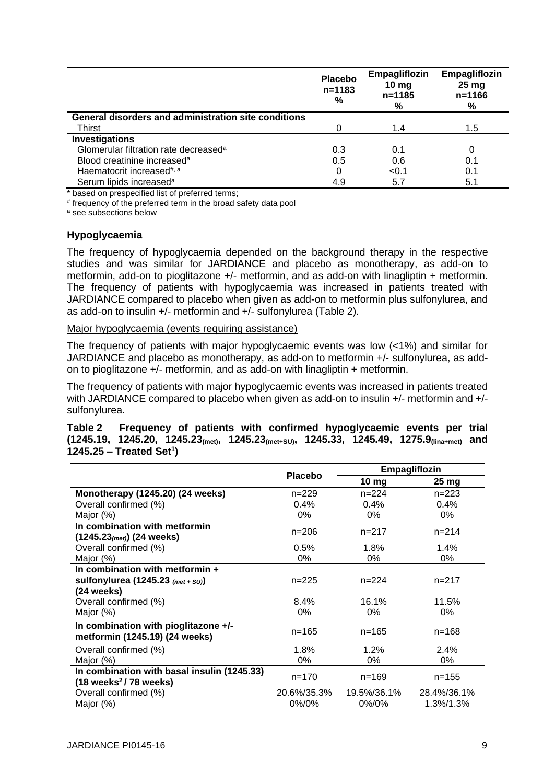|                                                             | <b>Placebo</b><br>$n = 1183$<br>% | Empagliflozin<br>$10 \text{ mg}$<br>$n = 1185$<br>% | Empagliflozin<br>25 <sub>mg</sub><br>$n = 1166$<br>% |
|-------------------------------------------------------------|-----------------------------------|-----------------------------------------------------|------------------------------------------------------|
| <b>General disorders and administration site conditions</b> |                                   |                                                     |                                                      |
| Thirst                                                      |                                   | 1.4                                                 | 1.5                                                  |
| Investigations                                              |                                   |                                                     |                                                      |
| Glomerular filtration rate decreased <sup>a</sup>           | 0.3                               | 0.1                                                 |                                                      |
| Blood creatinine increased <sup>a</sup>                     | 0.5                               | 0.6                                                 | 0.1                                                  |
| Haematocrit increased <sup>#, a</sup>                       | 0                                 | < 0.1                                               | 0.1                                                  |
| Serum lipids increased <sup>a</sup>                         | 4.9                               | 5.7                                                 | 5.1                                                  |

\* based on prespecified list of preferred terms;

# frequency of the preferred term in the broad safety data pool

<sup>a</sup> see subsections below

#### **Hypoglycaemia**

The frequency of hypoglycaemia depended on the background therapy in the respective studies and was similar for JARDIANCE and placebo as monotherapy, as add-on to metformin, add-on to pioglitazone +/- metformin, and as add-on with linagliptin + metformin. The frequency of patients with hypoglycaemia was increased in patients treated with JARDIANCE compared to placebo when given as add-on to metformin plus sulfonylurea, and as add-on to insulin +/- metformin and +/- sulfonylurea (Table 2).

#### Major hypoglycaemia (events requiring assistance)

The frequency of patients with major hypoglycaemic events was low (<1%) and similar for JARDIANCE and placebo as monotherapy, as add-on to metformin +/- sulfonylurea, as addon to pioglitazone +/- metformin, and as add-on with linagliptin + metformin.

The frequency of patients with major hypoglycaemic events was increased in patients treated with JARDIANCE compared to placebo when given as add-on to insulin +/- metformin and +/sulfonylurea.

#### **Table 2 Frequency of patients with confirmed hypoglycaemic events per trial (1245.19, 1245.20, 1245.23(met), 1245.23(met+SU), 1245.33, 1245.49, 1275.9(lina+met) and 1245.25 – Treated Set<sup>1</sup> )**

|                                                                                          | <b>Placebo</b> | Empagliflozin    |                    |  |
|------------------------------------------------------------------------------------------|----------------|------------------|--------------------|--|
|                                                                                          |                | 10 <sub>mg</sub> | $25 \,\mathrm{mg}$ |  |
| Monotherapy (1245.20) (24 weeks)                                                         | $n = 229$      | $n = 224$        | $n = 223$          |  |
| Overall confirmed (%)                                                                    | $0.4\%$        | $0.4\%$          | $0.4\%$            |  |
| Major $(\%)$                                                                             | 0%             | 0%               | 0%                 |  |
| In combination with metformin                                                            | $n = 206$      | $n = 217$        | $n = 214$          |  |
| $(1245.23(met))$ (24 weeks)                                                              |                |                  |                    |  |
| Overall confirmed (%)                                                                    | 0.5%           | 1.8%             | 1.4%               |  |
| Major (%)                                                                                | 0%             | 0%               | 0%                 |  |
| In combination with metformin +                                                          |                |                  |                    |  |
| sulfonylurea (1245.23 (met + SU))                                                        | $n = 225$      | $n = 224$        | $n = 217$          |  |
| (24 weeks)                                                                               |                |                  |                    |  |
| Overall confirmed (%)                                                                    | 8.4%           | 16.1%            | 11.5%              |  |
| Major (%)                                                                                | 0%             | 0%               | 0%                 |  |
| In combination with pioglitazone +/-<br>metformin (1245.19) (24 weeks)                   | $n = 165$      | $n = 165$        | $n = 168$          |  |
| Overall confirmed (%)                                                                    | 1.8%           | 1.2%             | 2.4%               |  |
| Major $(\%)$                                                                             | 0%             | 0%               | 0%                 |  |
| In combination with basal insulin (1245.33)<br>$(18 \text{ weeks}^2 / 78 \text{ weeks})$ | $n = 170$      | $n = 169$        | $n = 155$          |  |
| Overall confirmed (%)                                                                    | 20.6%/35.3%    | 19.5%/36.1%      | 28.4%/36.1%        |  |
| Major $(\%)$                                                                             | $0\%/0\%$      | $0\%/0\%$        | 1.3%/1.3%          |  |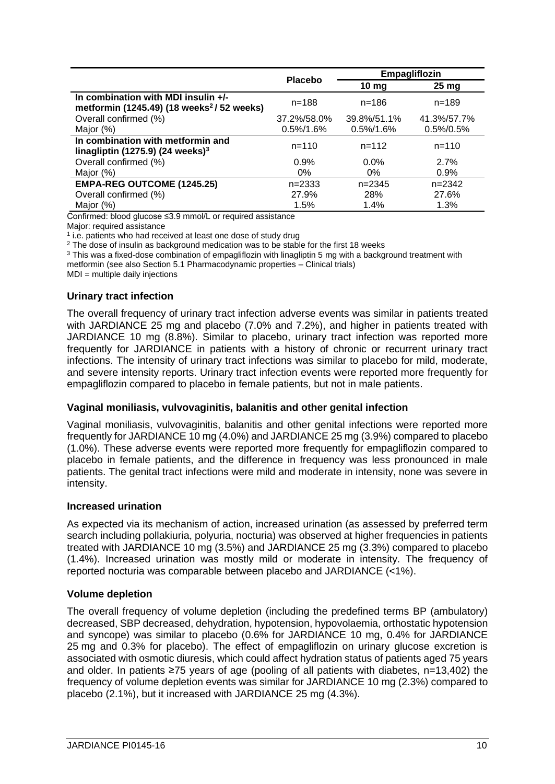|                                                                                               | <b>Placebo</b> |                  | Empagliflozin   |
|-----------------------------------------------------------------------------------------------|----------------|------------------|-----------------|
|                                                                                               |                | 10 <sub>mg</sub> | $25 \text{ mg}$ |
| In combination with MDI insulin +/-<br>metformin (1245.49) (18 weeks <sup>2</sup> / 52 weeks) | $n = 188$      | $n = 186$        | $n = 189$       |
| Overall confirmed (%)                                                                         | 37.2%/58.0%    | 39.8%/51.1%      | 41.3%/57.7%     |
| Major (%)                                                                                     | $0.5\%/1.6\%$  | $0.5\%/1.6\%$    | 0.5%/0.5%       |
| In combination with metformin and<br>linagliptin (1275.9) (24 weeks) $3$                      | $n = 110$      | $n = 112$        | $n = 110$       |
| Overall confirmed (%)                                                                         | 0.9%           | $0.0\%$          | 2.7%            |
| Major (%)                                                                                     | $0\%$          | $0\%$            | 0.9%            |
| <b>EMPA-REG OUTCOME (1245.25)</b>                                                             | $n = 2333$     | $n = 2345$       | $n = 2342$      |
| Overall confirmed (%)                                                                         | 27.9%          | 28%              | 27.6%           |
| Major (%)                                                                                     | 1.5%           | 1.4%             | 1.3%            |

Confirmed: blood glucose ≤3.9 mmol/L or required assistance

Major: required assistance

<sup>1</sup> i.e. patients who had received at least one dose of study drug

<sup>2</sup> The dose of insulin as background medication was to be stable for the first 18 weeks

<sup>3</sup> This was a fixed-dose combination of empagliflozin with linagliptin 5 mg with a background treatment with

metformin (see also Section 5.1 Pharmacodynamic properties – Clinical trials)

 $MDI =$  multiple daily injections

## **Urinary tract infection**

The overall frequency of urinary tract infection adverse events was similar in patients treated with JARDIANCE 25 mg and placebo (7.0% and 7.2%), and higher in patients treated with JARDIANCE 10 mg (8.8%). Similar to placebo, urinary tract infection was reported more frequently for JARDIANCE in patients with a history of chronic or recurrent urinary tract infections. The intensity of urinary tract infections was similar to placebo for mild, moderate, and severe intensity reports. Urinary tract infection events were reported more frequently for empagliflozin compared to placebo in female patients, but not in male patients.

#### **Vaginal moniliasis, vulvovaginitis, balanitis and other genital infection**

Vaginal moniliasis, vulvovaginitis, balanitis and other genital infections were reported more frequently for JARDIANCE 10 mg (4.0%) and JARDIANCE 25 mg (3.9%) compared to placebo (1.0%). These adverse events were reported more frequently for empagliflozin compared to placebo in female patients, and the difference in frequency was less pronounced in male patients. The genital tract infections were mild and moderate in intensity, none was severe in intensity.

## **Increased urination**

As expected via its mechanism of action, increased urination (as assessed by preferred term search including pollakiuria, polyuria, nocturia) was observed at higher frequencies in patients treated with JARDIANCE 10 mg (3.5%) and JARDIANCE 25 mg (3.3%) compared to placebo (1.4%). Increased urination was mostly mild or moderate in intensity. The frequency of reported nocturia was comparable between placebo and JARDIANCE (<1%).

## **Volume depletion**

The overall frequency of volume depletion (including the predefined terms BP (ambulatory) decreased, SBP decreased, dehydration, hypotension, hypovolaemia, orthostatic hypotension and syncope) was similar to placebo (0.6% for JARDIANCE 10 mg, 0.4% for JARDIANCE 25 mg and 0.3% for placebo). The effect of empagliflozin on urinary glucose excretion is associated with osmotic diuresis, which could affect hydration status of patients aged 75 years and older. In patients ≥75 years of age (pooling of all patients with diabetes, n=13,402) the frequency of volume depletion events was similar for JARDIANCE 10 mg (2.3%) compared to placebo (2.1%), but it increased with JARDIANCE 25 mg (4.3%).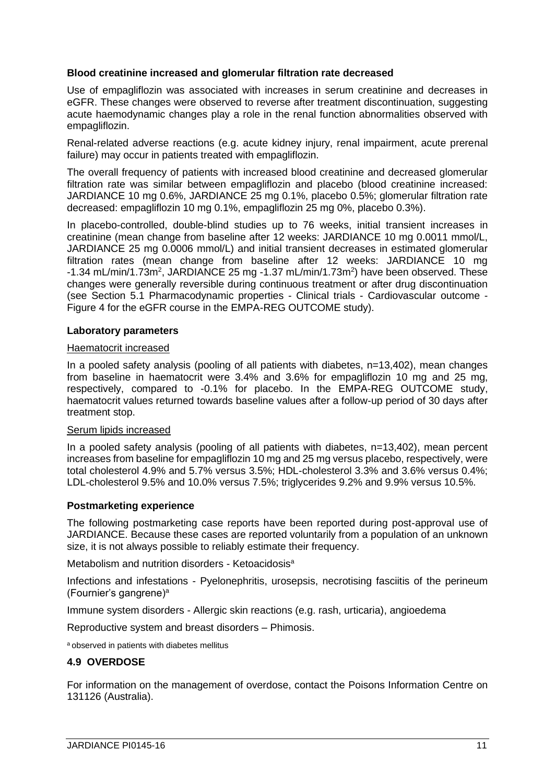## **Blood creatinine increased and glomerular filtration rate decreased**

Use of empagliflozin was associated with increases in serum creatinine and decreases in eGFR. These changes were observed to reverse after treatment discontinuation, suggesting acute haemodynamic changes play a role in the renal function abnormalities observed with empagliflozin.

Renal-related adverse reactions (e.g. acute kidney injury, renal impairment, acute prerenal failure) may occur in patients treated with empagliflozin.

The overall frequency of patients with increased blood creatinine and decreased glomerular filtration rate was similar between empagliflozin and placebo (blood creatinine increased: JARDIANCE 10 mg 0.6%, JARDIANCE 25 mg 0.1%, placebo 0.5%; glomerular filtration rate decreased: empagliflozin 10 mg 0.1%, empagliflozin 25 mg 0%, placebo 0.3%).

In placebo-controlled, double-blind studies up to 76 weeks, initial transient increases in creatinine (mean change from baseline after 12 weeks: JARDIANCE 10 mg 0.0011 mmol/L, JARDIANCE 25 mg 0.0006 mmol/L) and initial transient decreases in estimated glomerular filtration rates (mean change from baseline after 12 weeks: JARDIANCE 10 mg -1.34 mL/min/1.73m<sup>2</sup>, JARDIANCE 25 mg -1.37 mL/min/1.73m<sup>2</sup>) have been observed. These changes were generally reversible during continuous treatment or after drug discontinuation (see Section 5.1 Pharmacodynamic properties - Clinical trials - Cardiovascular outcome - Figure 4 for the eGFR course in the EMPA-REG OUTCOME study).

## **Laboratory parameters**

## Haematocrit increased

In a pooled safety analysis (pooling of all patients with diabetes, n=13,402), mean changes from baseline in haematocrit were 3.4% and 3.6% for empagliflozin 10 mg and 25 mg, respectively, compared to -0.1% for placebo. In the EMPA-REG OUTCOME study, haematocrit values returned towards baseline values after a follow-up period of 30 days after treatment stop.

#### Serum lipids increased

In a pooled safety analysis (pooling of all patients with diabetes, n=13,402), mean percent increases from baseline for empagliflozin 10 mg and 25 mg versus placebo, respectively, were total cholesterol 4.9% and 5.7% versus 3.5%; HDL-cholesterol 3.3% and 3.6% versus 0.4%; LDL-cholesterol 9.5% and 10.0% versus 7.5%; triglycerides 9.2% and 9.9% versus 10.5%.

## **Postmarketing experience**

The following postmarketing case reports have been reported during post-approval use of JARDIANCE. Because these cases are reported voluntarily from a population of an unknown size, it is not always possible to reliably estimate their frequency.

Metabolism and nutrition disorders - Ketoacidosis<sup>a</sup>

Infections and infestations - Pyelonephritis, urosepsis, necrotising fasciitis of the perineum (Fournier's gangrene)<sup>a</sup>

Immune system disorders - Allergic skin reactions (e.g. rash, urticaria), angioedema

Reproductive system and breast disorders – Phimosis.

<sup>a</sup> observed in patients with diabetes mellitus

## **4.9 OVERDOSE**

For information on the management of overdose, contact the Poisons Information Centre on 131126 (Australia).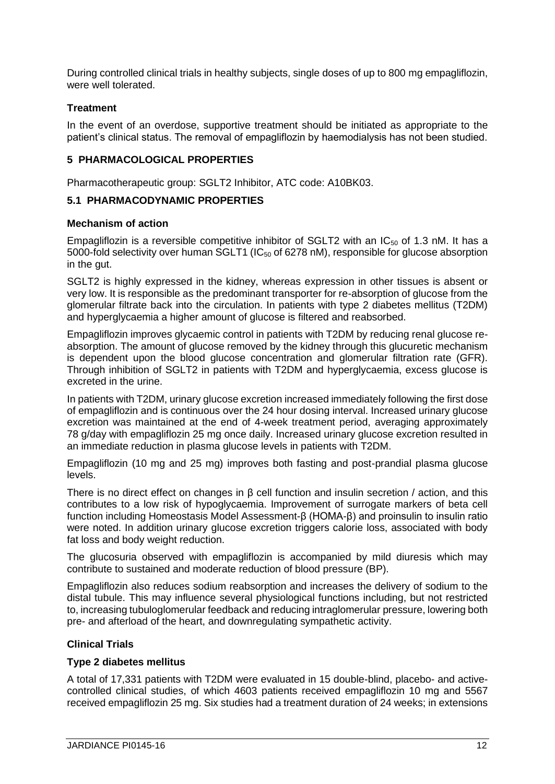During controlled clinical trials in healthy subjects, single doses of up to 800 mg empagliflozin, were well tolerated.

# **Treatment**

In the event of an overdose, supportive treatment should be initiated as appropriate to the patient's clinical status. The removal of empagliflozin by haemodialysis has not been studied.

# **5 PHARMACOLOGICAL PROPERTIES**

Pharmacotherapeutic group: SGLT2 Inhibitor, ATC code: A10BK03.

# **5.1 PHARMACODYNAMIC PROPERTIES**

## **Mechanism of action**

Empagliflozin is a reversible competitive inhibitor of SGLT2 with an  $IC_{50}$  of 1.3 nM. It has a 5000-fold selectivity over human SGLT1 (IC<sub>50</sub> of 6278 nM), responsible for glucose absorption in the gut.

SGLT2 is highly expressed in the kidney, whereas expression in other tissues is absent or very low. It is responsible as the predominant transporter for re-absorption of glucose from the glomerular filtrate back into the circulation. In patients with type 2 diabetes mellitus (T2DM) and hyperglycaemia a higher amount of glucose is filtered and reabsorbed.

Empagliflozin improves glycaemic control in patients with T2DM by reducing renal glucose reabsorption. The amount of glucose removed by the kidney through this glucuretic mechanism is dependent upon the blood glucose concentration and glomerular filtration rate (GFR). Through inhibition of SGLT2 in patients with T2DM and hyperglycaemia, excess glucose is excreted in the urine.

In patients with T2DM, urinary glucose excretion increased immediately following the first dose of empagliflozin and is continuous over the 24 hour dosing interval. Increased urinary glucose excretion was maintained at the end of 4-week treatment period, averaging approximately 78 g/day with empagliflozin 25 mg once daily. Increased urinary glucose excretion resulted in an immediate reduction in plasma glucose levels in patients with T2DM.

Empagliflozin (10 mg and 25 mg) improves both fasting and post-prandial plasma glucose levels.

There is no direct effect on changes in β cell function and insulin secretion / action, and this contributes to a low risk of hypoglycaemia. Improvement of surrogate markers of beta cell function including Homeostasis Model Assessment-β (HOMA-β) and proinsulin to insulin ratio were noted. In addition urinary glucose excretion triggers calorie loss, associated with body fat loss and body weight reduction.

The glucosuria observed with empagliflozin is accompanied by mild diuresis which may contribute to sustained and moderate reduction of blood pressure (BP).

Empagliflozin also reduces sodium reabsorption and increases the delivery of sodium to the distal tubule. This may influence several physiological functions including, but not restricted to, increasing tubuloglomerular feedback and reducing intraglomerular pressure, lowering both pre- and afterload of the heart, and downregulating sympathetic activity.

# **Clinical Trials**

## **Type 2 diabetes mellitus**

A total of 17,331 patients with T2DM were evaluated in 15 double-blind, placebo- and activecontrolled clinical studies, of which 4603 patients received empagliflozin 10 mg and 5567 received empagliflozin 25 mg. Six studies had a treatment duration of 24 weeks; in extensions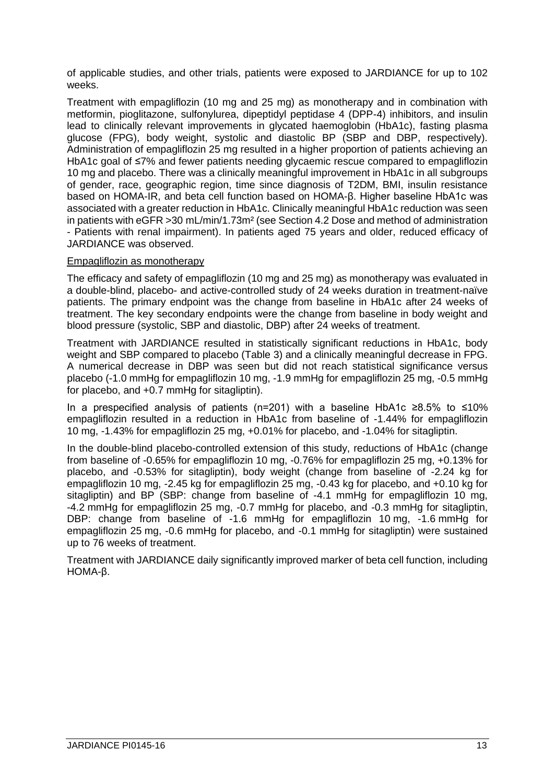of applicable studies, and other trials, patients were exposed to JARDIANCE for up to 102 weeks.

Treatment with empagliflozin (10 mg and 25 mg) as monotherapy and in combination with metformin, pioglitazone, sulfonylurea, dipeptidyl peptidase 4 (DPP-4) inhibitors, and insulin lead to clinically relevant improvements in glycated haemoglobin (HbA1c), fasting plasma glucose (FPG), body weight, systolic and diastolic BP (SBP and DBP, respectively). Administration of empagliflozin 25 mg resulted in a higher proportion of patients achieving an HbA1c goal of ≤7% and fewer patients needing glycaemic rescue compared to empagliflozin 10 mg and placebo. There was a clinically meaningful improvement in HbA1c in all subgroups of gender, race, geographic region, time since diagnosis of T2DM, BMI, insulin resistance based on HOMA-IR, and beta cell function based on HOMA-β. Higher baseline HbA1c was associated with a greater reduction in HbA1c. Clinically meaningful HbA1c reduction was seen in patients with eGFR >30 mL/min/1.73m² (see Section 4.2 Dose and method of administration - Patients with renal impairment). In patients aged 75 years and older, reduced efficacy of JARDIANCE was observed.

## Empagliflozin as monotherapy

The efficacy and safety of empagliflozin (10 mg and 25 mg) as monotherapy was evaluated in a double-blind, placebo- and active-controlled study of 24 weeks duration in treatment-naïve patients. The primary endpoint was the change from baseline in HbA1c after 24 weeks of treatment. The key secondary endpoints were the change from baseline in body weight and blood pressure (systolic, SBP and diastolic, DBP) after 24 weeks of treatment.

Treatment with JARDIANCE resulted in statistically significant reductions in HbA1c, body weight and SBP compared to placebo (Table 3) and a clinically meaningful decrease in FPG. A numerical decrease in DBP was seen but did not reach statistical significance versus placebo (-1.0 mmHg for empagliflozin 10 mg, -1.9 mmHg for empagliflozin 25 mg, -0.5 mmHg for placebo, and +0.7 mmHg for sitagliptin).

In a prespecified analysis of patients (n=201) with a baseline HbA1c ≥8.5% to ≤10% empagliflozin resulted in a reduction in HbA1c from baseline of -1.44% for empagliflozin 10 mg, -1.43% for empagliflozin 25 mg, +0.01% for placebo, and -1.04% for sitagliptin.

In the double-blind placebo-controlled extension of this study, reductions of HbA1c (change from baseline of -0.65% for empagliflozin 10 mg, -0.76% for empagliflozin 25 mg, +0.13% for placebo, and -0.53% for sitagliptin), body weight (change from baseline of -2.24 kg for empagliflozin 10 mg, -2.45 kg for empagliflozin 25 mg, -0.43 kg for placebo, and +0.10 kg for sitagliptin) and BP (SBP: change from baseline of -4.1 mmHg for empagliflozin 10 mg, -4.2 mmHg for empagliflozin 25 mg, -0.7 mmHg for placebo, and -0.3 mmHg for sitagliptin, DBP: change from baseline of -1.6 mmHg for empagliflozin 10 mg, -1.6 mmHg for empagliflozin 25 mg, -0.6 mmHg for placebo, and -0.1 mmHg for sitagliptin) were sustained up to 76 weeks of treatment.

Treatment with JARDIANCE daily significantly improved marker of beta cell function, including HOMA-β.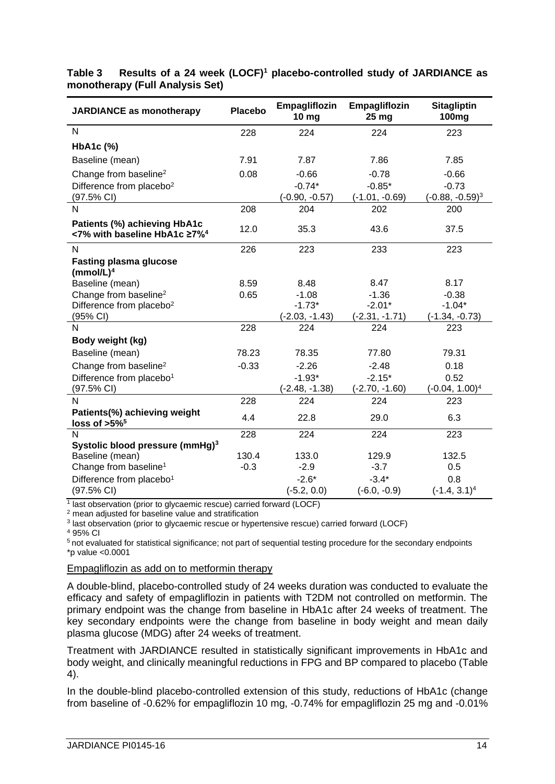| <b>JARDIANCE as monotherapy</b>                                          | <b>Placebo</b> | Empagliflozin<br>10 mg | Empagliflozin<br>25 mg | <b>Sitagliptin</b><br>100 <sub>mg</sub> |
|--------------------------------------------------------------------------|----------------|------------------------|------------------------|-----------------------------------------|
| $\overline{N}$                                                           | 228            | 224                    | 224                    | 223                                     |
| HbA1c (%)                                                                |                |                        |                        |                                         |
| Baseline (mean)                                                          | 7.91           | 7.87                   | 7.86                   | 7.85                                    |
| Change from baseline <sup>2</sup>                                        | 0.08           | $-0.66$                | $-0.78$                | $-0.66$                                 |
| Difference from placebo <sup>2</sup>                                     |                | $-0.74*$               | $-0.85*$               | $-0.73$                                 |
| $(97.5\% \text{ Cl})$                                                    |                | (-0.90, -0.57)         | $(-1.01, -0.69)$       | $(-0.88, -0.59)^3$                      |
| N                                                                        | 208            | 204                    | 202                    | 200                                     |
| Patients (%) achieving HbA1c<br><7% with baseline HbA1c ≥7% <sup>4</sup> | 12.0           | 35.3                   | 43.6                   | 37.5                                    |
| N                                                                        | 226            | 223                    | 233                    | 223                                     |
| <b>Fasting plasma glucose</b><br>$(mmol/L)^4$                            |                |                        |                        |                                         |
| Baseline (mean)                                                          | 8.59           | 8.48                   | 8.47                   | 8.17                                    |
| Change from baseline <sup>2</sup>                                        | 0.65           | $-1.08$                | $-1.36$                | $-0.38$                                 |
| Difference from placebo <sup>2</sup>                                     |                | $-1.73*$               | $-2.01*$               | $-1.04*$                                |
| (95% CI)<br>N                                                            |                | $(-2.03, -1.43)$       | $(-2.31, -1.71)$       | $(-1.34, -0.73)$                        |
|                                                                          | 228            | 224                    | 224                    | 223                                     |
| Body weight (kg)                                                         |                |                        |                        |                                         |
| Baseline (mean)                                                          | 78.23          | 78.35                  | 77.80                  | 79.31                                   |
| Change from baseline <sup>2</sup>                                        | $-0.33$        | $-2.26$                | $-2.48$                | 0.18                                    |
| Difference from placebo <sup>1</sup>                                     |                | $-1.93*$               | $-2.15*$               | 0.52                                    |
| (97.5% CI)                                                               |                | $(-2.48, -1.38)$       | $(-2.70, -1.60)$       | $(-0.04, 1.00)^4$                       |
| N                                                                        | 228            | 224                    | 224                    | 223                                     |
| Patients(%) achieving weight<br>loss of $>5\%$ <sup>5</sup>              | 4.4            | 22.8                   | 29.0                   | 6.3                                     |
| N                                                                        | 228            | 224                    | 224                    | 223                                     |
| Systolic blood pressure (mmHg) <sup>3</sup>                              |                |                        |                        |                                         |
| Baseline (mean)                                                          | 130.4          | 133.0                  | 129.9                  | 132.5                                   |
| Change from baseline <sup>1</sup>                                        | $-0.3$         | $-2.9$                 | $-3.7$                 | 0.5                                     |
| Difference from placebo <sup>1</sup>                                     |                | $-2.6*$                | $-3.4*$                | 0.8                                     |
| $(97.5\% \text{ Cl})$                                                    |                | $(-5.2, 0.0)$          | $(-6.0, -0.9)$         | $(-1.4, 3.1)^4$                         |

# **Table 3 Results of a 24 week (LOCF)<sup>1</sup> placebo-controlled study of JARDIANCE as monotherapy (Full Analysis Set)**

<sup>1</sup> last observation (prior to glycaemic rescue) carried forward (LOCF)

<sup>2</sup> mean adjusted for baseline value and stratification

3 last observation (prior to glycaemic rescue or hypertensive rescue) carried forward (LOCF)

<sup>4</sup> 95% CI

<sup>5</sup>not evaluated for statistical significance; not part of sequential testing procedure for the secondary endpoints \*p value <0.0001

## Empagliflozin as add on to metformin therapy

A double-blind, placebo-controlled study of 24 weeks duration was conducted to evaluate the efficacy and safety of empagliflozin in patients with T2DM not controlled on metformin. The primary endpoint was the change from baseline in HbA1c after 24 weeks of treatment. The key secondary endpoints were the change from baseline in body weight and mean daily plasma glucose (MDG) after 24 weeks of treatment.

Treatment with JARDIANCE resulted in statistically significant improvements in HbA1c and body weight, and clinically meaningful reductions in FPG and BP compared to placebo (Table 4).

In the double-blind placebo-controlled extension of this study, reductions of HbA1c (change from baseline of -0.62% for empagliflozin 10 mg, -0.74% for empagliflozin 25 mg and -0.01%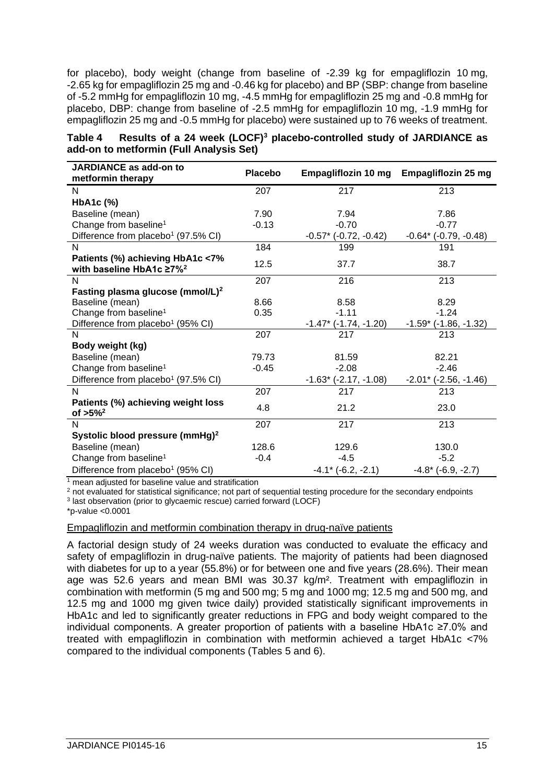for placebo), body weight (change from baseline of -2.39 kg for empagliflozin 10 mg, -2.65 kg for empagliflozin 25 mg and -0.46 kg for placebo) and BP (SBP: change from baseline of -5.2 mmHg for empagliflozin 10 mg, -4.5 mmHg for empagliflozin 25 mg and -0.8 mmHg for placebo, DBP: change from baseline of -2.5 mmHg for empagliflozin 10 mg, -1.9 mmHg for empagliflozin 25 mg and -0.5 mmHg for placebo) were sustained up to 76 weeks of treatment.

| Table 4 Results of a 24 week (LOCF) <sup>3</sup> placebo-controlled study of JARDIANCE as |  |
|-------------------------------------------------------------------------------------------|--|
| add-on to metformin (Full Analysis Set)                                                   |  |

| JARDIANCE as add-on to<br>metformin therapy                          | <b>Placebo</b> | Empagliflozin 10 mg             | <b>Empagliflozin 25 mg</b>      |
|----------------------------------------------------------------------|----------------|---------------------------------|---------------------------------|
| N                                                                    | 207            | 217                             | 213                             |
| HbA1c (%)                                                            |                |                                 |                                 |
| Baseline (mean)                                                      | 7.90           | 7.94                            | 7.86                            |
| Change from baseline <sup>1</sup>                                    | $-0.13$        | $-0.70$                         | $-0.77$                         |
| Difference from placebo <sup>1</sup> (97.5% CI)                      |                | $-0.57$ * ( $-0.72$ , $-0.42$ ) | $-0.64$ * ( $-0.79$ , $-0.48$ ) |
| N                                                                    | 184            | 199                             | 191                             |
| Patients (%) achieving HbA1c <7%<br>with baseline HbA1c $\geq 7\%^2$ | 12.5           | 37.7                            | 38.7                            |
| $\mathsf{N}$                                                         | 207            | 216                             | 213                             |
| Fasting plasma glucose (mmol/L) <sup>2</sup>                         |                |                                 |                                 |
| Baseline (mean)                                                      | 8.66           | 8.58                            | 8.29                            |
| Change from baseline <sup>1</sup>                                    | 0.35           | $-1.11$                         | $-1.24$                         |
| Difference from placebo <sup>1</sup> (95% CI)                        |                | $-1.47$ * ( $-1.74$ , $-1.20$ ) | $-1.59$ ( $-1.86$ , $-1.32$ )   |
| N                                                                    | 207            | 217                             | 213                             |
| Body weight (kg)                                                     |                |                                 |                                 |
| Baseline (mean)                                                      | 79.73          | 81.59                           | 82.21                           |
| Change from baseline <sup>1</sup>                                    | $-0.45$        | $-2.08$                         | $-2.46$                         |
| Difference from placebo <sup>1</sup> (97.5% CI)                      |                | $-1.63$ * ( $-2.17, -1.08$ )    | $-2.01$ * ( $-2.56$ , $-1.46$ ) |
| N                                                                    | 207            | 217                             | 213                             |
| Patients (%) achieving weight loss<br>of $>5\%^2$                    | 4.8            | 21.2                            | 23.0                            |
| N                                                                    | 207            | 217                             | 213                             |
| Systolic blood pressure (mmHg) <sup>2</sup>                          |                |                                 |                                 |
| Baseline (mean)                                                      | 128.6          | 129.6                           | 130.0                           |
| Change from baseline <sup>1</sup>                                    | $-0.4$         | $-4.5$                          | $-5.2$                          |
| Difference from placebo <sup>1</sup> (95% CI)                        |                | $-4.1$ * ( $-6.2, -2.1$ )       | $-4.8$ * ( $-6.9, -2.7$ )       |

<sup>1</sup> mean adjusted for baseline value and stratification

<sup>2</sup> not evaluated for statistical significance; not part of sequential testing procedure for the secondary endpoints

3 last observation (prior to glycaemic rescue) carried forward (LOCF)

\*p-value <0.0001

#### Empagliflozin and metformin combination therapy in drug-naïve patients

A factorial design study of 24 weeks duration was conducted to evaluate the efficacy and safety of empagliflozin in drug-naïve patients. The majority of patients had been diagnosed with diabetes for up to a year (55.8%) or for between one and five years (28.6%). Their mean age was 52.6 years and mean BMI was 30.37 kg/m². Treatment with empagliflozin in combination with metformin (5 mg and 500 mg; 5 mg and 1000 mg; 12.5 mg and 500 mg, and 12.5 mg and 1000 mg given twice daily) provided statistically significant improvements in HbA1c and led to significantly greater reductions in FPG and body weight compared to the individual components. A greater proportion of patients with a baseline HbA1c ≥7.0% and treated with empagliflozin in combination with metformin achieved a target HbA1c <7% compared to the individual components (Tables 5 and 6).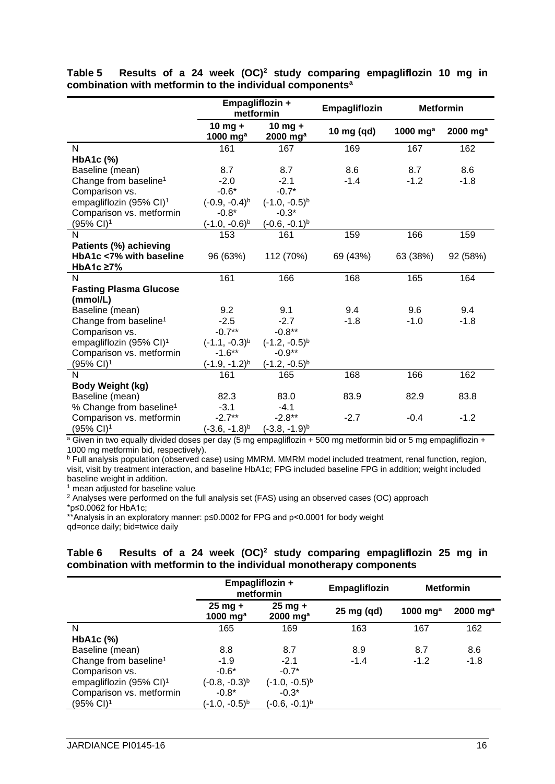|                                           | Empagliflozin +<br>metformin |                         | Empagliflozin | <b>Metformin</b> |                      |
|-------------------------------------------|------------------------------|-------------------------|---------------|------------------|----------------------|
|                                           | $10$ mg +<br>1000 $mg^a$     | $10$ mg +<br>2000 $mga$ | 10 mg (qd)    | 1000 $mga$       | 2000 mg <sup>a</sup> |
| $\mathsf{N}$                              | 161                          | 167                     | 169           | 167              | 162                  |
| HbA1c (%)                                 |                              |                         |               |                  |                      |
| Baseline (mean)                           | 8.7                          | 8.7                     | 8.6           | 8.7              | 8.6                  |
| Change from baseline <sup>1</sup>         | $-2.0$                       | $-2.1$                  | $-1.4$        | $-1.2$           | $-1.8$               |
| Comparison vs.                            | $-0.6*$                      | $-0.7*$                 |               |                  |                      |
| empagliflozin (95% CI) <sup>1</sup>       | $(-0.9, -0.4)^{b}$           | $(-1.0, -0.5)^{b}$      |               |                  |                      |
| Comparison vs. metformin                  | $-0.8*$                      | $-0.3*$                 |               |                  |                      |
| (95% CI) <sup>1</sup>                     | $(-1.0, -0.6)^{b}$           | $(-0.6, -0.1)^{b}$      |               |                  |                      |
| N                                         | 153                          | 161                     | 159           | 166              | 159                  |
| Patients (%) achieving                    |                              |                         |               |                  |                      |
| HbA1c <7% with baseline                   | 96 (63%)                     | 112 (70%)               | 69 (43%)      | 63 (38%)         | 92 (58%)             |
| HbA1c ≥7%                                 |                              |                         |               |                  |                      |
| N                                         | 161                          | 166                     | 168           | 165              | 164                  |
| <b>Fasting Plasma Glucose</b><br>(mmol/L) |                              |                         |               |                  |                      |
| Baseline (mean)                           | 9.2                          | 9.1                     | 9.4           | 9.6              | 9.4                  |
| Change from baseline <sup>1</sup>         | $-2.5$                       | $-2.7$                  | $-1.8$        | $-1.0$           | $-1.8$               |
| Comparison vs.                            | $-0.7**$                     | $-0.8**$                |               |                  |                      |
| empagliflozin (95% CI) <sup>1</sup>       | $(-1.1, -0.3)^{b}$           | $(-1.2, -0.5)^{b}$      |               |                  |                      |
| Comparison vs. metformin                  | $-1.6***$                    | $-0.9**$                |               |                  |                      |
| (95% CI) <sup>1</sup>                     | (-1.9, -1.2) <sup>b</sup>    | $(-1.2, -0.5)^{b}$      |               |                  |                      |
| N                                         | 161                          | 165                     | 168           | 166              | 162                  |
| Body Weight (kg)                          |                              |                         |               |                  |                      |
| Baseline (mean)                           | 82.3                         | 83.0                    | 83.9          | 82.9             | 83.8                 |
| % Change from baseline <sup>1</sup>       | $-3.1$                       | $-4.1$                  |               |                  |                      |
| Comparison vs. metformin                  | $-2.7**$                     | $-2.8**$                | $-2.7$        | $-0.4$           | $-1.2$               |
| (95% CI) <sup>1</sup>                     | $(-3.6, -1.8)^{b}$           | $(-3.8, -1.9)^{b}$      |               |                  |                      |

**Table 5 Results of a 24 week (OC)<sup>2</sup> study comparing empagliflozin 10 mg in combination with metformin to the individual components<sup>a</sup>**

<sup>a</sup> Given in two equally divided doses per day (5 mg empagliflozin + 500 mg metformin bid or 5 mg empagliflozin + 1000 mg metformin bid, respectively).

<sup>b</sup> Full analysis population (observed case) using MMRM. MMRM model included treatment, renal function, region, visit, visit by treatment interaction, and baseline HbA1c; FPG included baseline FPG in addition; weight included baseline weight in addition.

<sup>1</sup> mean adjusted for baseline value

<sup>2</sup> Analyses were performed on the full analysis set (FAS) using an observed cases (OC) approach

\*p≤0.0062 for HbA1c;

\*\*Analysis in an exploratory manner: p≤0.0002 for FPG and p<0.0001 for body weight

qd=once daily; bid=twice daily

## **Table 6 Results of a 24 week (OC)<sup>2</sup> study comparing empagliflozin 25 mg in combination with metformin to the individual monotherapy components**

|                                     | Empagliflozin +<br>metformin    |                                     | Empagliflozin |            | <b>Metformin</b>       |
|-------------------------------------|---------------------------------|-------------------------------------|---------------|------------|------------------------|
|                                     | $25 \text{ mg} +$<br>1000 $mga$ | $25$ mg +<br>$2000$ mg <sup>a</sup> | 25 mg (qd)    | 1000 $mga$ | $2000$ mg <sup>a</sup> |
| N                                   | 165                             | 169                                 | 163           | 167        | 162                    |
| HbA <sub>1</sub> c $(\%)$           |                                 |                                     |               |            |                        |
| Baseline (mean)                     | 8.8                             | 8.7                                 | 8.9           | 8.7        | 8.6                    |
| Change from baseline <sup>1</sup>   | $-1.9$                          | $-2.1$                              | $-1.4$        | $-1.2$     | $-1.8$                 |
| Comparison vs.                      | $-0.6*$                         | $-0.7*$                             |               |            |                        |
| empagliflozin (95% CI) <sup>1</sup> | $(-0.8, -0.3)^{b}$              | $(-1.0, -0.5)^{b}$                  |               |            |                        |
| Comparison vs. metformin            | $-0.8*$                         | $-0.3*$                             |               |            |                        |
| $(95\% \text{ Cl})^1$               | $(-1.0, -0.5)^{b}$              | $(-0.6, -0.1)^{b}$                  |               |            |                        |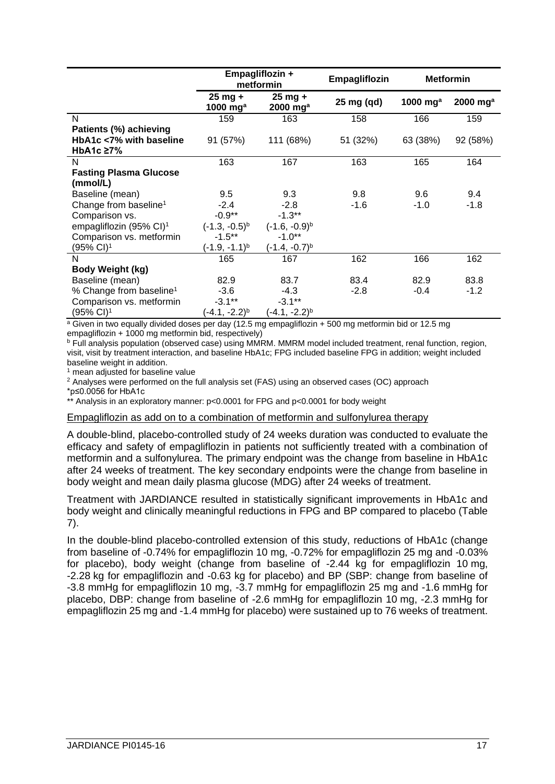|                                     | Empagliflozin +<br>metformin    |                                     | Empagliflozin |            | <b>Metformin</b>       |
|-------------------------------------|---------------------------------|-------------------------------------|---------------|------------|------------------------|
|                                     | $25 \text{ mg} +$<br>1000 $mga$ | $25$ mg +<br>$2000$ mg <sup>a</sup> | 25 mg (qd)    | 1000 $mga$ | $2000$ mg <sup>a</sup> |
| N                                   | 159                             | 163                                 | 158           | 166        | 159                    |
| Patients (%) achieving              |                                 |                                     |               |            |                        |
| HbA1c <7% with baseline             | 91 (57%)                        | 111 (68%)                           | 51 (32%)      | 63 (38%)   | 92 (58%)               |
| HbA1c $\geq 7\%$                    |                                 |                                     |               |            |                        |
| N                                   | 163                             | 167                                 | 163           | 165        | 164                    |
| <b>Fasting Plasma Glucose</b>       |                                 |                                     |               |            |                        |
| (mmol/L)                            |                                 |                                     |               |            |                        |
| Baseline (mean)                     | 9.5                             | 9.3                                 | 9.8           | 9.6        | 9.4                    |
| Change from baseline <sup>1</sup>   | $-2.4$                          | $-2.8$                              | $-1.6$        | $-1.0$     | $-1.8$                 |
| Comparison vs.                      | $-0.9**$                        | $-1.3**$                            |               |            |                        |
| empagliflozin (95% CI) <sup>1</sup> | $(-1.3, -0.5)^{b}$              | $(-1.6, -0.9)^{b}$                  |               |            |                        |
| Comparison vs. metformin            | $-1.5***$                       | $-1.0**$                            |               |            |                        |
| (95% CI) <sup>1</sup>               | (-1.9, -1.1) <sup>b</sup>       | (-1.4, -0.7) <sup>b</sup>           |               |            |                        |
| N                                   | 165                             | 167                                 | 162           | 166        | 162                    |
| <b>Body Weight (kg)</b>             |                                 |                                     |               |            |                        |
| Baseline (mean)                     | 82.9                            | 83.7                                | 83.4          | 82.9       | 83.8                   |
| % Change from baseline <sup>1</sup> | $-3.6$                          | $-4.3$                              | $-2.8$        | $-0.4$     | $-1.2$                 |
| Comparison vs. metformin            | $-3.1***$                       | $-3.1***$                           |               |            |                        |
| (95% CI) <sup>1</sup>               | $(-4.1, -2.2)^{b}$              | (-4.1, -2.2) <sup>b</sup>           |               |            |                        |

 $\frac{a}{a}$  Given in two equally divided doses per day (12.5 mg empagliflozin + 500 mg metformin bid or 12.5 mg empagliflozin + 1000 mg metformin bid, respectively)

**b Full analysis population (observed case) using MMRM. MMRM model included treatment, renal function, region,** visit, visit by treatment interaction, and baseline HbA1c; FPG included baseline FPG in addition; weight included baseline weight in addition.

 $<sup>1</sup>$  mean adjusted for baseline value</sup>

 $2$  Analyses were performed on the full analysis set (FAS) using an observed cases (OC) approach

\*p≤0.0056 for HbA1c

\*\* Analysis in an exploratory manner: p<0.0001 for FPG and p<0.0001 for body weight

#### Empagliflozin as add on to a combination of metformin and sulfonylurea therapy

A double-blind, placebo-controlled study of 24 weeks duration was conducted to evaluate the efficacy and safety of empagliflozin in patients not sufficiently treated with a combination of metformin and a sulfonylurea. The primary endpoint was the change from baseline in HbA1c after 24 weeks of treatment. The key secondary endpoints were the change from baseline in body weight and mean daily plasma glucose (MDG) after 24 weeks of treatment.

Treatment with JARDIANCE resulted in statistically significant improvements in HbA1c and body weight and clinically meaningful reductions in FPG and BP compared to placebo (Table 7).

In the double-blind placebo-controlled extension of this study, reductions of HbA1c (change from baseline of -0.74% for empagliflozin 10 mg, -0.72% for empagliflozin 25 mg and -0.03% for placebo), body weight (change from baseline of -2.44 kg for empagliflozin 10 mg, -2.28 kg for empagliflozin and -0.63 kg for placebo) and BP (SBP: change from baseline of -3.8 mmHg for empagliflozin 10 mg, -3.7 mmHg for empagliflozin 25 mg and -1.6 mmHg for placebo, DBP: change from baseline of -2.6 mmHg for empagliflozin 10 mg, -2.3 mmHg for empagliflozin 25 mg and -1.4 mmHg for placebo) were sustained up to 76 weeks of treatment.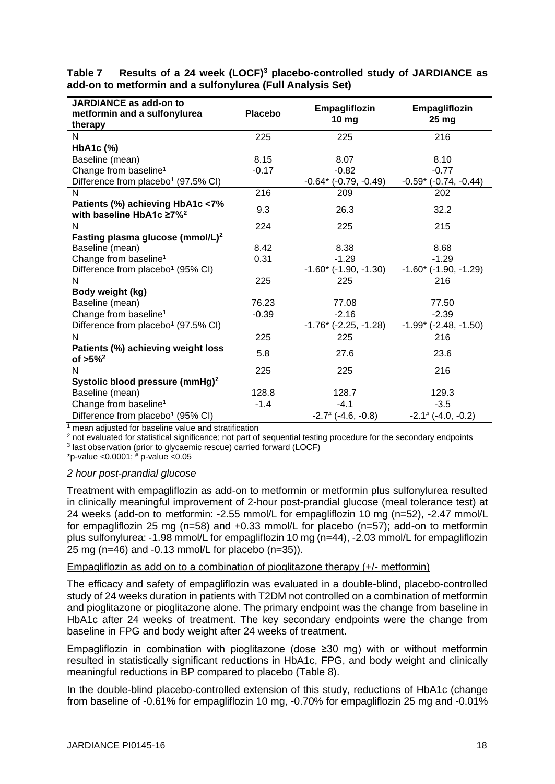| JARDIANCE as add-on to<br>metformin and a sulfonylurea               | <b>Placebo</b> | Empagliflozin<br>10 <sub>mg</sub> | Empagliflozin<br>25 <sub>mg</sub> |
|----------------------------------------------------------------------|----------------|-----------------------------------|-----------------------------------|
| therapy                                                              |                |                                   |                                   |
| N                                                                    | 225            | 225                               | 216                               |
| HbA1c (%)                                                            |                |                                   |                                   |
| Baseline (mean)                                                      | 8.15           | 8.07                              | 8.10                              |
| Change from baseline <sup>1</sup>                                    | $-0.17$        | $-0.82$                           | $-0.77$                           |
| Difference from placebo <sup>1</sup> (97.5% CI)                      |                | $-0.64$ * ( $-0.79$ , $-0.49$ )   | $-0.59$ ( $-0.74$ , $-0.44$ )     |
| N                                                                    | 216            | 209                               | 202                               |
| Patients (%) achieving HbA1c <7%<br>with baseline HbA1c $\geq 7\%^2$ | 9.3            | 26.3                              | 32.2                              |
| N                                                                    | 224            | 225                               | 215                               |
| Fasting plasma glucose (mmol/L) <sup>2</sup>                         |                |                                   |                                   |
| Baseline (mean)                                                      | 8.42           | 8.38                              | 8.68                              |
| Change from baseline <sup>1</sup>                                    | 0.31           | $-1.29$                           | $-1.29$                           |
| Difference from placebo <sup>1</sup> (95% CI)                        |                | $-1.60$ * ( $-1.90, -1.30$ )      | $-1.60$ * ( $-1.90, -1.29$ )      |
| N                                                                    | 225            | 225                               | 216                               |
| Body weight (kg)                                                     |                |                                   |                                   |
| Baseline (mean)                                                      | 76.23          | 77.08                             | 77.50                             |
| Change from baseline <sup>1</sup>                                    | $-0.39$        | $-2.16$                           | $-2.39$                           |
| Difference from placebo <sup>1</sup> (97.5% CI)                      |                | $-1.76$ * ( $-2.25, -1.28$ )      | $-1.99$ ( $-2.48$ , $-1.50$ )     |
| N                                                                    | 225            | 225                               | 216                               |
| Patients (%) achieving weight loss<br>of $>5\%^2$                    | 5.8            | 27.6                              | 23.6                              |
| N                                                                    | 225            | 225                               | 216                               |
| Systolic blood pressure (mmHg) <sup>2</sup>                          |                |                                   |                                   |
| Baseline (mean)                                                      | 128.8          | 128.7                             | 129.3                             |
| Change from baseline <sup>1</sup>                                    | $-1.4$         | $-4.1$                            | $-3.5$                            |
| Difference from placebo <sup>1</sup> (95% CI)                        |                | $-2.7$ # ( $-4.6, -0.8$ )         | $-2.1$ # ( $-4.0, -0.2$ )         |

**Table 7 Results of a 24 week (LOCF)<sup>3</sup> placebo-controlled study of JARDIANCE as add-on to metformin and a sulfonylurea (Full Analysis Set)**

 $1$  mean adjusted for baseline value and stratification

<sup>2</sup> not evaluated for statistical significance; not part of sequential testing procedure for the secondary endpoints

3 last observation (prior to glycaemic rescue) carried forward (LOCF) \*p-value < $0.0001$ ;  $*$  p-value < $0.05$ 

# *2 hour post-prandial glucose*

Treatment with empagliflozin as add-on to metformin or metformin plus sulfonylurea resulted in clinically meaningful improvement of 2-hour post-prandial glucose (meal tolerance test) at 24 weeks (add-on to metformin: -2.55 mmol/L for empagliflozin 10 mg (n=52), -2.47 mmol/L for empagliflozin 25 mg (n=58) and +0.33 mmol/L for placebo (n=57); add-on to metformin plus sulfonylurea: -1.98 mmol/L for empagliflozin 10 mg (n=44), -2.03 mmol/L for empagliflozin 25 mg ( $n=46$ ) and  $-0.13$  mmol/L for placebo ( $n=35$ )).

## Empagliflozin as add on to a combination of pioglitazone therapy (+/- metformin)

The efficacy and safety of empagliflozin was evaluated in a double-blind, placebo-controlled study of 24 weeks duration in patients with T2DM not controlled on a combination of metformin and pioglitazone or pioglitazone alone. The primary endpoint was the change from baseline in HbA1c after 24 weeks of treatment. The key secondary endpoints were the change from baseline in FPG and body weight after 24 weeks of treatment.

Empagliflozin in combination with pioglitazone (dose ≥30 mg) with or without metformin resulted in statistically significant reductions in HbA1c, FPG, and body weight and clinically meaningful reductions in BP compared to placebo (Table 8).

In the double-blind placebo-controlled extension of this study, reductions of HbA1c (change from baseline of -0.61% for empagliflozin 10 mg, -0.70% for empagliflozin 25 mg and -0.01%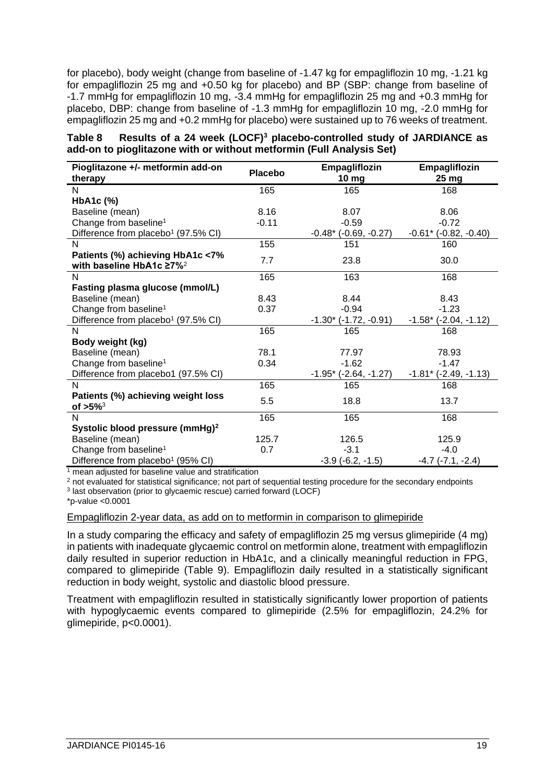for placebo), body weight (change from baseline of -1.47 kg for empagliflozin 10 mg, -1.21 kg for empagliflozin 25 mg and +0.50 kg for placebo) and BP (SBP: change from baseline of -1.7 mmHg for empagliflozin 10 mg, -3.4 mmHg for empagliflozin 25 mg and +0.3 mmHg for placebo, DBP: change from baseline of -1.3 mmHg for empagliflozin 10 mg, -2.0 mmHg for empagliflozin 25 mg and +0.2 mmHg for placebo) were sustained up to 76 weeks of treatment.

| Table 8 Results of a 24 week (LOCF) <sup>3</sup> placebo-controlled study of JARDIANCE as |
|-------------------------------------------------------------------------------------------|
| add-on to pioglitazone with or without metformin (Full Analysis Set)                      |

| Pioglitazone +/- metformin add-on<br>therapy                             | <b>Placebo</b> | Empagliflozin<br>10 <sub>mg</sub> | Empagliflozin<br>25 <sub>mg</sub> |
|--------------------------------------------------------------------------|----------------|-----------------------------------|-----------------------------------|
| N                                                                        | 165            | 165                               | 168                               |
| HbA1c (%)                                                                |                |                                   |                                   |
| Baseline (mean)                                                          | 8.16           | 8.07                              | 8.06                              |
| Change from baseline <sup>1</sup>                                        | $-0.11$        | $-0.59$                           | $-0.72$                           |
| Difference from placebo <sup>1</sup> (97.5% CI)                          |                | $-0.48$ * ( $-0.69, -0.27$ )      | $-0.61$ * ( $-0.82, -0.40$ )      |
| N                                                                        | 155            | 151                               | 160                               |
| Patients (%) achieving HbA1c <7%<br>with baseline HbA1c ≥7% <sup>2</sup> | 7.7            | 23.8                              | 30.0                              |
| N                                                                        | 165            | 163                               | 168                               |
| Fasting plasma glucose (mmol/L)                                          |                |                                   |                                   |
| Baseline (mean)                                                          | 8.43           | 8.44                              | 8.43                              |
| Change from baseline <sup>1</sup>                                        | 0.37           | $-0.94$                           | $-1.23$                           |
| Difference from placebo <sup>1</sup> (97.5% CI)                          |                | $-1.30$ * ( $-1.72$ , $-0.91$ )   | $-1.58$ ( $-2.04$ , $-1.12$ )     |
| N                                                                        | 165            | 165                               | 168                               |
| Body weight (kg)                                                         |                |                                   |                                   |
| Baseline (mean)                                                          | 78.1           | 77.97                             | 78.93                             |
| Change from baseline <sup>1</sup>                                        | 0.34           | $-1.62$                           | $-1.47$                           |
| Difference from placebo1 (97.5% CI)                                      |                | $-1.95$ * ( $-2.64$ , $-1.27$ )   | $-1.81$ * ( $-2.49, -1.13$ )      |
| N                                                                        | 165            | 165                               | 168                               |
| Patients (%) achieving weight loss<br>of $>5\%$ <sup>3</sup>             | 5.5            | 18.8                              | 13.7                              |
| N                                                                        | 165            | 165                               | 168                               |
| Systolic blood pressure (mmHg) <sup>2</sup>                              |                |                                   |                                   |
| Baseline (mean)                                                          | 125.7          | 126.5                             | 125.9                             |
| Change from baseline <sup>1</sup>                                        | 0.7            | $-3.1$                            | $-4.0$                            |
| Difference from placebo <sup>1</sup> (95% CI)                            |                | $-3.9$ $(-6.2, -1.5)$             | $-4.7$ $(-7.1, -2.4)$             |

<sup>1</sup> mean adjusted for baseline value and stratification

<sup>2</sup> not evaluated for statistical significance; not part of sequential testing procedure for the secondary endpoints 3 last observation (prior to glycaemic rescue) carried forward (LOCF)

\*p-value <0.0001

#### Empagliflozin 2-year data, as add on to metformin in comparison to glimepiride

In a study comparing the efficacy and safety of empagliflozin 25 mg versus glimepiride (4 mg) in patients with inadequate glycaemic control on metformin alone, treatment with empagliflozin daily resulted in superior reduction in HbA1c, and a clinically meaningful reduction in FPG, compared to glimepiride (Table 9). Empagliflozin daily resulted in a statistically significant reduction in body weight, systolic and diastolic blood pressure.

Treatment with empagliflozin resulted in statistically significantly lower proportion of patients with hypoglycaemic events compared to glimepiride (2.5% for empagliflozin, 24.2% for glimepiride, p<0.0001).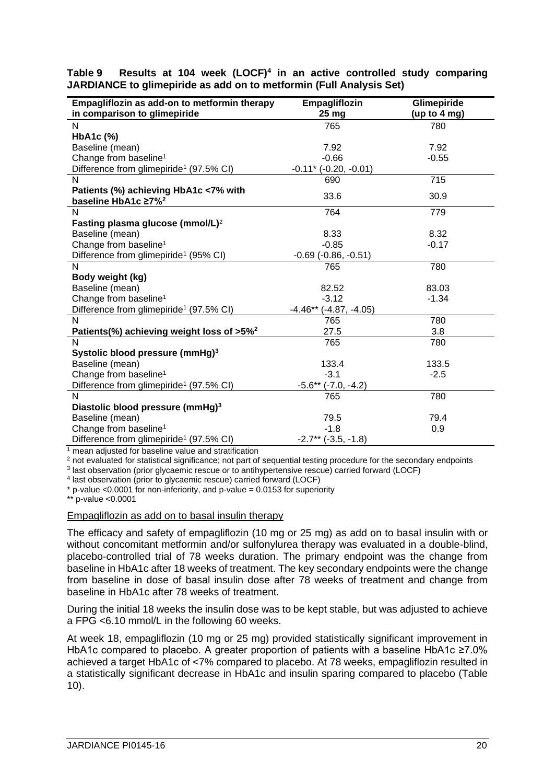| Empagliflozin as add-on to metformin therapy          | Empagliflozin                 | Glimepiride    |
|-------------------------------------------------------|-------------------------------|----------------|
| in comparison to glimepiride                          | 25 <sub>mg</sub>              | (up to $4$ mg) |
| N                                                     | 765                           | 780            |
| HbA1c (%)                                             |                               |                |
| Baseline (mean)                                       | 7.92                          | 7.92           |
| Change from baseline <sup>1</sup>                     | $-0.66$                       | $-0.55$        |
| Difference from glimepiride <sup>1</sup> (97.5% CI)   | $-0.11$ * ( $-0.20, -0.01$ )  |                |
| N                                                     | 690                           | 715            |
| Patients (%) achieving HbA1c <7% with                 | 33.6                          | 30.9           |
| baseline HbA1c ≥7% <sup>2</sup>                       |                               |                |
| N                                                     | 764                           | 779            |
| Fasting plasma glucose (mmol/L) <sup>2</sup>          |                               |                |
| Baseline (mean)                                       | 8.33                          | 8.32           |
| Change from baseline <sup>1</sup>                     | $-0.85$                       | $-0.17$        |
| Difference from glimepiride <sup>1</sup> (95% CI)     | $-0.69$ $(-0.86, -0.51)$      |                |
| N                                                     | 765                           | 780            |
| Body weight (kg)                                      |                               |                |
| Baseline (mean)                                       | 82.52                         | 83.03          |
| Change from baseline <sup>1</sup>                     | $-3.12$                       | $-1.34$        |
| Difference from glimepiride <sup>1</sup> (97.5% CI)   | $-4.46**$<br>$(-4.87, -4.05)$ |                |
| N                                                     | 765                           | 780            |
| Patients(%) achieving weight loss of >5% <sup>2</sup> | 27.5                          | 3.8            |
| N                                                     | 765                           | 780            |
| Systolic blood pressure (mmHg) <sup>3</sup>           |                               |                |
| Baseline (mean)                                       | 133.4                         | 133.5          |
| Change from baseline <sup>1</sup>                     | $-3.1$                        | $-2.5$         |
| Difference from glimepiride <sup>1</sup> (97.5% CI)   | $-5.6**$ $(-7.0, -4.2)$       |                |
| N                                                     | 765                           | 780            |
| Diastolic blood pressure (mmHg) <sup>3</sup>          |                               |                |
| Baseline (mean)                                       | 79.5                          | 79.4           |
| Change from baseline <sup>1</sup>                     | $-1.8$                        | 0.9            |
| Difference from glimepiride <sup>1</sup> (97.5% CI)   | $-2.7**$ $(-3.5, -1.8)$       |                |

**Table 9 Results at 104 week (LOCF)<sup>4</sup> in an active controlled study comparing JARDIANCE to glimepiride as add on to metformin (Full Analysis Set)**

<sup>1</sup> mean adjusted for baseline value and stratification

<sup>2</sup> not evaluated for statistical significance; not part of sequential testing procedure for the secondary endpoints

3 last observation (prior glycaemic rescue or to antihypertensive rescue) carried forward (LOCF)

4 last observation (prior to glycaemic rescue) carried forward (LOCF)

 $*$  p-value <0.0001 for non-inferiority, and p-value = 0.0153 for superiority

\*\* p-value <0.0001

Empagliflozin as add on to basal insulin therapy

The efficacy and safety of empagliflozin (10 mg or 25 mg) as add on to basal insulin with or without concomitant metformin and/or sulfonylurea therapy was evaluated in a double-blind, placebo-controlled trial of 78 weeks duration. The primary endpoint was the change from baseline in HbA1c after 18 weeks of treatment. The key secondary endpoints were the change from baseline in dose of basal insulin dose after 78 weeks of treatment and change from baseline in HbA1c after 78 weeks of treatment.

During the initial 18 weeks the insulin dose was to be kept stable, but was adjusted to achieve a FPG <6.10 mmol/L in the following 60 weeks.

At week 18, empagliflozin (10 mg or 25 mg) provided statistically significant improvement in HbA1c compared to placebo. A greater proportion of patients with a baseline HbA1c ≥7.0% achieved a target HbA1c of <7% compared to placebo. At 78 weeks, empagliflozin resulted in a statistically significant decrease in HbA1c and insulin sparing compared to placebo (Table 10).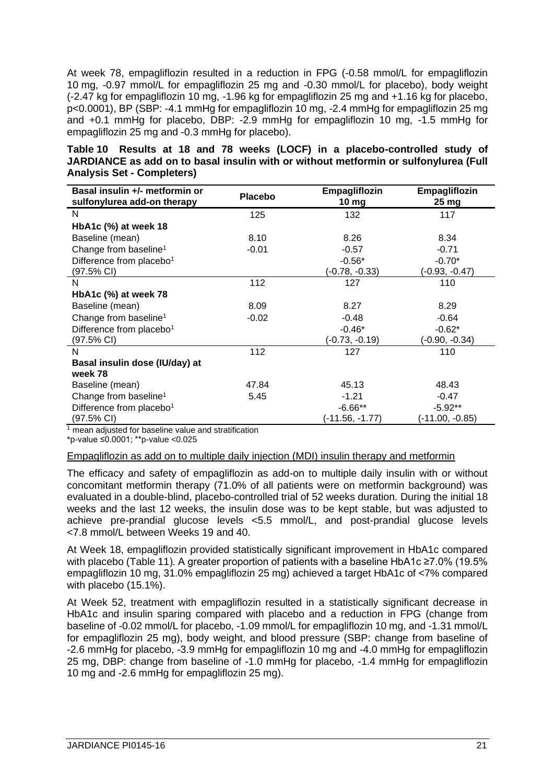At week 78, empagliflozin resulted in a reduction in FPG (-0.58 mmol/L for empagliflozin 10 mg, -0.97 mmol/L for empagliflozin 25 mg and -0.30 mmol/L for placebo), body weight (-2.47 kg for empagliflozin 10 mg, -1.96 kg for empagliflozin 25 mg and +1.16 kg for placebo, p<0.0001), BP (SBP: -4.1 mmHg for empagliflozin 10 mg, -2.4 mmHg for empagliflozin 25 mg and +0.1 mmHg for placebo, DBP: -2.9 mmHg for empagliflozin 10 mg, -1.5 mmHg for empagliflozin 25 mg and -0.3 mmHg for placebo).

|                                   |  |  |  |  |  | Table 10 Results at 18 and 78 weeks (LOCF) in a placebo-controlled study of          |  |  |
|-----------------------------------|--|--|--|--|--|--------------------------------------------------------------------------------------|--|--|
|                                   |  |  |  |  |  | JARDIANCE as add on to basal insulin with or without metformin or sulfonylurea (Full |  |  |
| <b>Analysis Set - Completers)</b> |  |  |  |  |  |                                                                                      |  |  |

| Basal insulin +/- metformin or<br>sulfonylurea add-on therapy | <b>Placebo</b> | Empagliflozin<br>10 $mg$ | Empagliflozin<br>25 mg |
|---------------------------------------------------------------|----------------|--------------------------|------------------------|
| N                                                             | 125            | 132                      | 117                    |
| HbA1c (%) at week 18                                          |                |                          |                        |
| Baseline (mean)                                               | 8.10           | 8.26                     | 8.34                   |
| Change from baseline <sup>1</sup>                             | $-0.01$        | $-0.57$                  | $-0.71$                |
| Difference from placebo <sup>1</sup>                          |                | $-0.56*$                 | $-0.70*$               |
| $(97.5\% \text{ Cl})$                                         |                | $(-0.78, -0.33)$         | (-0.93, -0.47)         |
| N                                                             | 112            | 127                      | 110                    |
| HbA1c (%) at week 78                                          |                |                          |                        |
| Baseline (mean)                                               | 8.09           | 8.27                     | 8.29                   |
| Change from baseline <sup>1</sup>                             | $-0.02$        | $-0.48$                  | $-0.64$                |
| Difference from placebo <sup>1</sup>                          |                | $-0.46*$                 | $-0.62*$               |
| (97.5% CI)                                                    |                | (-0.73, -0.19)           | (-0.90, -0.34)         |
| N                                                             | 112            | 127                      | 110                    |
| Basal insulin dose (IU/day) at                                |                |                          |                        |
| week 78                                                       |                |                          |                        |
| Baseline (mean)                                               | 47.84          | 45.13                    | 48.43                  |
| Change from baseline <sup>1</sup>                             | 5.45           | $-1.21$                  | $-0.47$                |
| Difference from placebo <sup>1</sup>                          |                | $-6.66**$                | $-5.92**$              |
| $(97.5\% \text{ Cl})$                                         |                | (-11.56, -1.77)          | (-11.00, -0.85)        |

<sup>1</sup> mean adjusted for baseline value and stratification

\*p-value ≤0.0001; \*\*p-value <0.025

## Empagliflozin as add on to multiple daily injection (MDI) insulin therapy and metformin

The efficacy and safety of empagliflozin as add-on to multiple daily insulin with or without concomitant metformin therapy (71.0% of all patients were on metformin background) was evaluated in a double-blind, placebo-controlled trial of 52 weeks duration. During the initial 18 weeks and the last 12 weeks, the insulin dose was to be kept stable, but was adjusted to achieve pre-prandial glucose levels <5.5 mmol/L, and post-prandial glucose levels <7.8 mmol/L between Weeks 19 and 40.

At Week 18, empagliflozin provided statistically significant improvement in HbA1c compared with placebo (Table 11). A greater proportion of patients with a baseline HbA1c ≥7.0% (19.5% empagliflozin 10 mg, 31.0% empagliflozin 25 mg) achieved a target HbA1c of <7% compared with placebo (15.1%).

At Week 52, treatment with empagliflozin resulted in a statistically significant decrease in HbA1c and insulin sparing compared with placebo and a reduction in FPG (change from baseline of -0.02 mmol/L for placebo, -1.09 mmol/L for empagliflozin 10 mg, and -1.31 mmol/L for empagliflozin 25 mg), body weight, and blood pressure (SBP: change from baseline of -2.6 mmHg for placebo, -3.9 mmHg for empagliflozin 10 mg and -4.0 mmHg for empagliflozin 25 mg, DBP: change from baseline of -1.0 mmHg for placebo, -1.4 mmHg for empagliflozin 10 mg and -2.6 mmHg for empagliflozin 25 mg).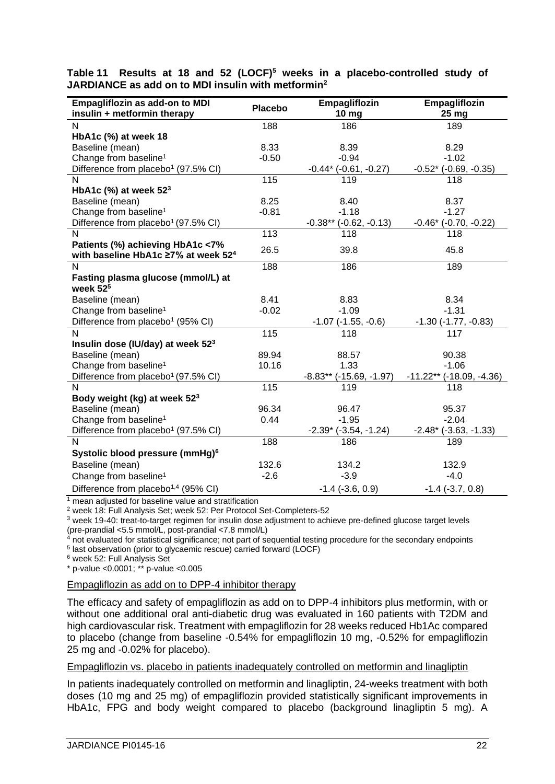| Empagliflozin as add-on to MDI<br>insulin + metformin therapy | <b>Placebo</b>    | Empagliflozin<br>10 mg           | Empagliflozin<br>25 mg       |
|---------------------------------------------------------------|-------------------|----------------------------------|------------------------------|
| N                                                             | 188               | 186                              | 189                          |
| HbA1c (%) at week 18                                          |                   |                                  |                              |
| Baseline (mean)                                               | 8.33              | 8.39                             | 8.29                         |
| Change from baseline <sup>1</sup>                             | $-0.50$           | $-0.94$                          | $-1.02$                      |
| Difference from placebo <sup>1</sup> (97.5% CI)               |                   | $-0.44*$ ( $-0.61, -0.27$ )      | $-0.52$ * ( $-0.69, -0.35$ ) |
| N                                                             | 115               | 119                              | 118                          |
| HbA1c (%) at week $523$                                       |                   |                                  |                              |
| Baseline (mean)                                               | 8.25              | 8.40                             | 8.37                         |
| Change from baseline <sup>1</sup>                             | $-0.81$           | $-1.18$                          | $-1.27$                      |
| Difference from placebo <sup>1</sup> (97.5% CI)               |                   | $-0.38**$ ( $-0.62$ , $-0.13$ )  | $-0.46*$ $(-0.70, -0.22)$    |
| N                                                             | $\overline{113}$  | 118                              | 118                          |
| Patients (%) achieving HbA1c <7%                              | 26.5              | 39.8                             | 45.8                         |
| with baseline HbA1c ≥7% at week 52 <sup>4</sup><br>N          | 188               | 186                              | 189                          |
| Fasting plasma glucose (mmol/L) at                            |                   |                                  |                              |
| week $525$                                                    |                   |                                  |                              |
| Baseline (mean)                                               | 8.41              | 8.83                             | 8.34                         |
| Change from baseline <sup>1</sup>                             | $-0.02$           | $-1.09$                          | $-1.31$                      |
| Difference from placebo <sup>1</sup> (95% CI)                 |                   | $-1.07$ ( $-1.55$ , $-0.6$ )     | $-1.30$ $(-1.77, -0.83)$     |
| N                                                             | 115               | 118                              | 117                          |
| Insulin dose (IU/day) at week 52 <sup>3</sup>                 |                   |                                  |                              |
| Baseline (mean)                                               | 89.94             | 88.57                            | 90.38                        |
| Change from baseline <sup>1</sup>                             | 10.16             | 1.33                             | $-1.06$                      |
| Difference from placebo <sup>1</sup> (97.5% CI)               |                   | $-8.83**$ ( $-15.69$ , $-1.97$ ) | $-11.22**$ (-18.09, -4.36)   |
| N                                                             | $\frac{115}{115}$ | 119                              | 118                          |
| Body weight (kg) at week 52 <sup>3</sup>                      |                   |                                  |                              |
| Baseline (mean)                                               | 96.34             | 96.47                            | 95.37                        |
| Change from baseline <sup>1</sup>                             | 0.44              | $-1.95$                          | $-2.04$                      |
| Difference from placebo <sup>1</sup> (97.5% CI)               |                   | $-2.39$ ( $-3.54$ , $-1.24$ )    | $-2.48$ * ( $-3.63, -1.33$ ) |
| N                                                             | 188               | 186                              | 189                          |
| Systolic blood pressure (mmHg) <sup>6</sup>                   |                   |                                  |                              |
| Baseline (mean)                                               | 132.6             | 134.2                            | 132.9                        |
| Change from baseline <sup>1</sup>                             | $-2.6$            | $-3.9$                           | $-4.0$                       |
| Difference from placebo <sup>1,4</sup> (95% CI)               |                   | $-1.4$ $(-3.6, 0.9)$             | $-1.4$ $(-3.7, 0.8)$         |

**Table 11 Results at 18 and 52 (LOCF)<sup>5</sup> weeks in a placebo-controlled study of JARDIANCE as add on to MDI insulin with metformin<sup>2</sup>**

<sup>1</sup> mean adjusted for baseline value and stratification

<sup>2</sup> week 18: Full Analysis Set; week 52: Per Protocol Set-Completers-52

<sup>3</sup> week 19-40: treat-to-target regimen for insulin dose adjustment to achieve pre-defined glucose target levels (pre-prandial <5.5 mmol/L, post-prandial <7.8 mmol/L)

 $4$  not evaluated for statistical significance; not part of sequential testing procedure for the secondary endpoints

5 last observation (prior to glycaemic rescue) carried forward (LOCF)

<sup>6</sup> week 52: Full Analysis Set

\* p-value <0.0001; \*\* p-value <0.005

## Empagliflozin as add on to DPP-4 inhibitor therapy

The efficacy and safety of empagliflozin as add on to DPP-4 inhibitors plus metformin, with or without one additional oral anti-diabetic drug was evaluated in 160 patients with T2DM and high cardiovascular risk. Treatment with empagliflozin for 28 weeks reduced Hb1Ac compared to placebo (change from baseline -0.54% for empagliflozin 10 mg, -0.52% for empagliflozin 25 mg and -0.02% for placebo).

#### Empagliflozin vs. placebo in patients inadequately controlled on metformin and linagliptin

In patients inadequately controlled on metformin and linagliptin, 24-weeks treatment with both doses (10 mg and 25 mg) of empagliflozin provided statistically significant improvements in HbA1c, FPG and body weight compared to placebo (background linagliptin 5 mg). A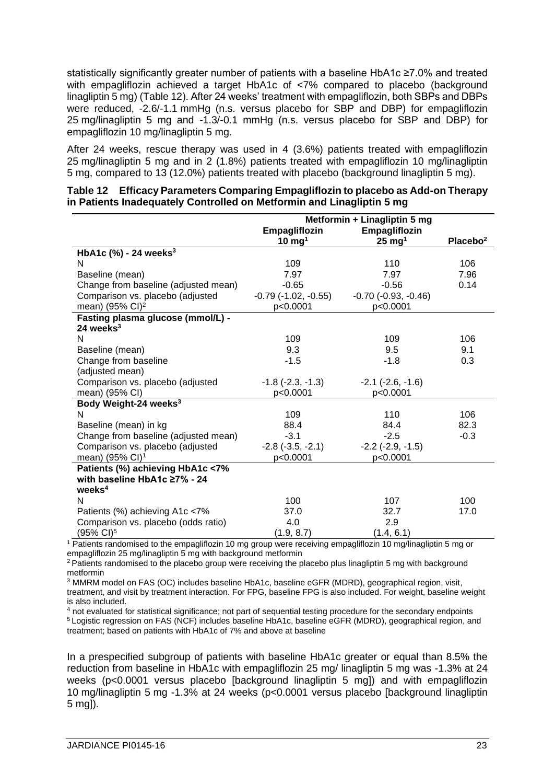statistically significantly greater number of patients with a baseline HbA1c ≥7.0% and treated with empagliflozin achieved a target HbA1c of <7% compared to placebo (background linagliptin 5 mg) (Table 12). After 24 weeks' treatment with empagliflozin, both SBPs and DBPs were reduced, -2.6/-1.1 mmHg (n.s. versus placebo for SBP and DBP) for empagliflozin 25 mg/linagliptin 5 mg and -1.3/-0.1 mmHg (n.s. versus placebo for SBP and DBP) for empagliflozin 10 mg/linagliptin 5 mg.

After 24 weeks, rescue therapy was used in 4 (3.6%) patients treated with empagliflozin 25 mg/linagliptin 5 mg and in 2 (1.8%) patients treated with empagliflozin 10 mg/linagliptin 5 mg, compared to 13 (12.0%) patients treated with placebo (background linagliptin 5 mg).

|                                      | Metformin + Linagliptin 5 mg |                            |                      |  |  |
|--------------------------------------|------------------------------|----------------------------|----------------------|--|--|
|                                      | Empagliflozin                | Empagliflozin              |                      |  |  |
|                                      | $10 \text{ mg}^1$            | $25 \text{ mg}^1$          | Placebo <sup>2</sup> |  |  |
| HbA1c $(%)$ - 24 weeks <sup>3</sup>  |                              |                            |                      |  |  |
| N                                    | 109                          | 110                        | 106                  |  |  |
| Baseline (mean)                      | 7.97                         | 7.97                       | 7.96                 |  |  |
| Change from baseline (adjusted mean) | $-0.65$                      | $-0.56$                    | 0.14                 |  |  |
| Comparison vs. placebo (adjusted     | $-0.79$ $(-1.02, -0.55)$     | $-0.70$ $(-0.93, -0.46)$   |                      |  |  |
| mean) (95% CI) <sup>2</sup>          | p<0.0001                     | p<0.0001                   |                      |  |  |
| Fasting plasma glucose (mmol/L) -    |                              |                            |                      |  |  |
| 24 weeks $3$                         |                              |                            |                      |  |  |
| N                                    | 109                          | 109                        | 106                  |  |  |
| Baseline (mean)                      | 9.3                          | 9.5                        | 9.1                  |  |  |
| Change from baseline                 | $-1.5$                       | $-1.8$                     | 0.3                  |  |  |
| (adjusted mean)                      |                              |                            |                      |  |  |
| Comparison vs. placebo (adjusted     | $-1.8$ ( $-2.3$ , $-1.3$ )   | $-2.1$ $(-2.6, -1.6)$      |                      |  |  |
| mean) (95% CI)                       | p<0.0001                     | p<0.0001                   |                      |  |  |
| Body Weight-24 weeks <sup>3</sup>    |                              |                            |                      |  |  |
| N                                    | 109                          | 110                        | 106                  |  |  |
| Baseline (mean) in kg                | 88.4                         | 84.4                       | 82.3                 |  |  |
| Change from baseline (adjusted mean) | $-3.1$                       | $-2.5$                     | $-0.3$               |  |  |
| Comparison vs. placebo (adjusted     | $-2.8$ $(-3.5, -2.1)$        | $-2.2$ ( $-2.9$ , $-1.5$ ) |                      |  |  |
| mean) (95% CI) <sup>1</sup>          | p<0.0001                     | p<0.0001                   |                      |  |  |
| Patients (%) achieving HbA1c <7%     |                              |                            |                      |  |  |
| with baseline HbA1c ≥7% - 24         |                              |                            |                      |  |  |
| weeks <sup>4</sup>                   |                              |                            |                      |  |  |
| N                                    | 100                          | 107                        | 100                  |  |  |
| Patients (%) achieving A1c <7%       | 37.0                         | 32.7                       | 17.0                 |  |  |
| Comparison vs. placebo (odds ratio)  | 4.0                          | 2.9                        |                      |  |  |
| (95% CI) <sup>5</sup>                | (1.9, 8.7)                   | (1.4, 6.1)                 |                      |  |  |

|  | Table 12 Efficacy Parameters Comparing Empagliflozin to placebo as Add-on Therapy |  |
|--|-----------------------------------------------------------------------------------|--|
|  | in Patients Inadequately Controlled on Metformin and Linagliptin 5 mg             |  |

<sup>1</sup> Patients randomised to the empagliflozin 10 mg group were receiving empagliflozin 10 mg/linagliptin 5 mg or empagliflozin 25 mg/linagliptin 5 mg with background metformin

<sup>2</sup> Patients randomised to the placebo group were receiving the placebo plus linagliptin 5 mg with background metformin

<sup>3</sup> MMRM model on FAS (OC) includes baseline HbA1c, baseline eGFR (MDRD), geographical region, visit, treatment, and visit by treatment interaction. For FPG, baseline FPG is also included. For weight, baseline weight is also included.

<sup>4</sup> not evaluated for statistical significance; not part of sequential testing procedure for the secondary endpoints <sup>5</sup>Logistic regression on FAS (NCF) includes baseline HbA1c, baseline eGFR (MDRD), geographical region, and treatment; based on patients with HbA1c of 7% and above at baseline

In a prespecified subgroup of patients with baseline HbA1c greater or equal than 8.5% the reduction from baseline in HbA1c with empagliflozin 25 mg/ linagliptin 5 mg was -1.3% at 24 weeks (p<0.0001 versus placebo [background linagliptin 5 mg]) and with empagliflozin 10 mg/linagliptin 5 mg -1.3% at 24 weeks (p<0.0001 versus placebo [background linagliptin 5 mg]).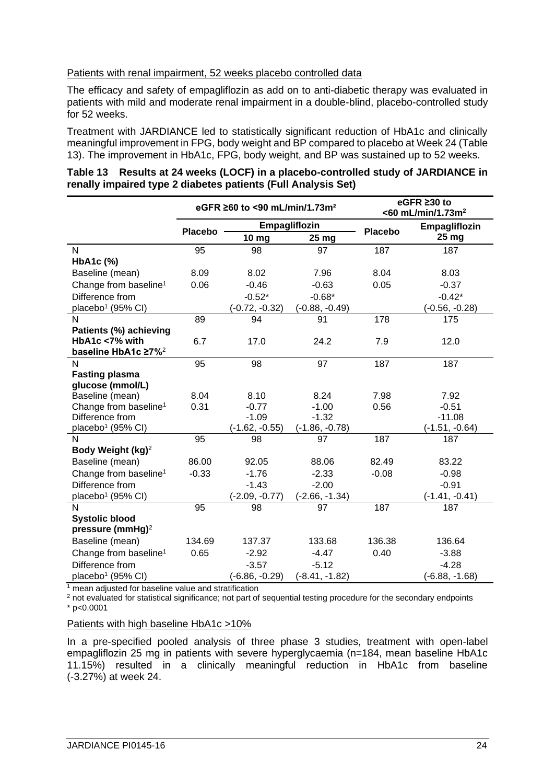## Patients with renal impairment, 52 weeks placebo controlled data

The efficacy and safety of empagliflozin as add on to anti-diabetic therapy was evaluated in patients with mild and moderate renal impairment in a double-blind, placebo-controlled study for 52 weeks.

Treatment with JARDIANCE led to statistically significant reduction of HbA1c and clinically meaningful improvement in FPG, body weight and BP compared to placebo at Week 24 (Table 13). The improvement in HbA1c, FPG, body weight, and BP was sustained up to 52 weeks.

| Empagliflozin                                            |
|----------------------------------------------------------|
|                                                          |
|                                                          |
|                                                          |
|                                                          |
|                                                          |
|                                                          |
|                                                          |
| $(-0.56, -0.28)$                                         |
|                                                          |
|                                                          |
|                                                          |
|                                                          |
|                                                          |
|                                                          |
|                                                          |
|                                                          |
|                                                          |
|                                                          |
|                                                          |
|                                                          |
|                                                          |
|                                                          |
|                                                          |
|                                                          |
|                                                          |
|                                                          |
|                                                          |
|                                                          |
|                                                          |
|                                                          |
|                                                          |
| $(-1.51, -0.64)$<br>$(-1.41, -0.41)$<br>$(-6.88, -1.68)$ |

| Table 13 Results at 24 weeks (LOCF) in a placebo-controlled study of JARDIANCE in |  |  |
|-----------------------------------------------------------------------------------|--|--|
| renally impaired type 2 diabetes patients (Full Analysis Set)                     |  |  |

 $\frac{1}{1}$  mean adjusted for baseline value and stratification

<sup>2</sup> not evaluated for statistical significance; not part of sequential testing procedure for the secondary endpoints  $*$  p<0.0001

#### Patients with high baseline HbA1c >10%

In a pre-specified pooled analysis of three phase 3 studies, treatment with open-label empagliflozin 25 mg in patients with severe hyperglycaemia (n=184, mean baseline HbA1c 11.15%) resulted in a clinically meaningful reduction in HbA1c from baseline (-3.27%) at week 24.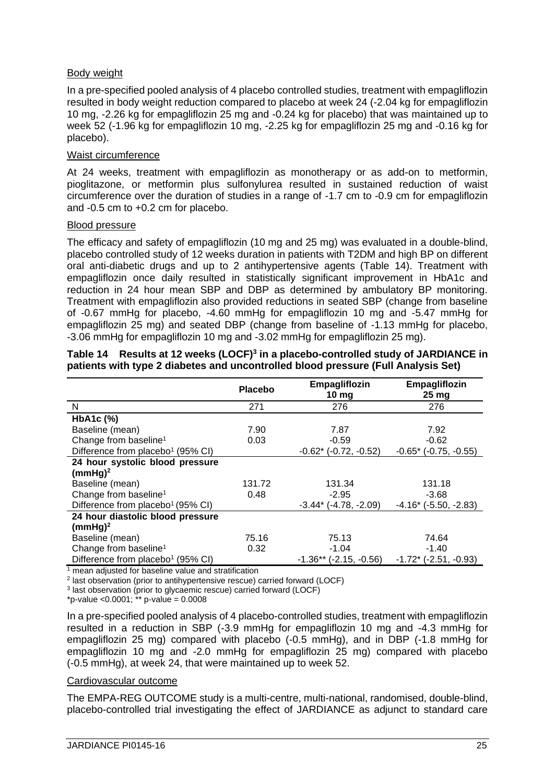## Body weight

In a pre-specified pooled analysis of 4 placebo controlled studies, treatment with empagliflozin resulted in body weight reduction compared to placebo at week 24 (-2.04 kg for empagliflozin 10 mg, -2.26 kg for empagliflozin 25 mg and -0.24 kg for placebo) that was maintained up to week 52 (-1.96 kg for empagliflozin 10 mg, -2.25 kg for empagliflozin 25 mg and -0.16 kg for placebo).

## Waist circumference

At 24 weeks, treatment with empagliflozin as monotherapy or as add-on to metformin, pioglitazone, or metformin plus sulfonylurea resulted in sustained reduction of waist circumference over the duration of studies in a range of -1.7 cm to -0.9 cm for empagliflozin and -0.5 cm to +0.2 cm for placebo.

## Blood pressure

The efficacy and safety of empagliflozin (10 mg and 25 mg) was evaluated in a double-blind, placebo controlled study of 12 weeks duration in patients with T2DM and high BP on different oral anti-diabetic drugs and up to 2 antihypertensive agents (Table 14). Treatment with empagliflozin once daily resulted in statistically significant improvement in HbA1c and reduction in 24 hour mean SBP and DBP as determined by ambulatory BP monitoring. Treatment with empagliflozin also provided reductions in seated SBP (change from baseline of -0.67 mmHg for placebo, -4.60 mmHg for empagliflozin 10 mg and -5.47 mmHg for empagliflozin 25 mg) and seated DBP (change from baseline of -1.13 mmHg for placebo, -3.06 mmHg for empagliflozin 10 mg and -3.02 mmHg for empagliflozin 25 mg).

|                                               | <b>Placebo</b> | Empagliflozin<br>10 <sub>mg</sub> | Empagliflozin<br>25 <sub>mg</sub> |
|-----------------------------------------------|----------------|-----------------------------------|-----------------------------------|
| N                                             | 271            | 276                               | 276                               |
| HbA1c (%)                                     |                |                                   |                                   |
| Baseline (mean)                               | 7.90           | 7.87                              | 7.92                              |
| Change from baseline <sup>1</sup>             | 0.03           | $-0.59$                           | $-0.62$                           |
| Difference from placebo <sup>1</sup> (95% CI) |                | $-0.62$ * ( $-0.72$ , $-0.52$ )   | $-0.65$ * ( $-0.75$ , $-0.55$ )   |
| 24 hour systolic blood pressure               |                |                                   |                                   |
| $(mmHg)^2$                                    |                |                                   |                                   |
| Baseline (mean)                               | 131.72         | 131.34                            | 131.18                            |
| Change from baseline <sup>1</sup>             | 0.48           | $-2.95$                           | $-3.68$                           |
| Difference from placebo <sup>1</sup> (95% CI) |                | $-3.44$ ( $-4.78$ , $-2.09$ )     | $-4.16$ * ( $-5.50, -2.83$ )      |
| 24 hour diastolic blood pressure              |                |                                   |                                   |
| $(mmHg)^2$                                    |                |                                   |                                   |
| Baseline (mean)                               | 75.16          | 75.13                             | 74.64                             |
| Change from baseline <sup>1</sup>             | 0.32           | $-1.04$                           | $-1.40$                           |
| Difference from placebo <sup>1</sup> (95% CI) |                | $-1.36**$ ( $-2.15$ , $-0.56$ )   | $-1.72$ * ( $-2.51$ , $-0.93$ )   |

## **Table 14 Results at 12 weeks (LOCF)<sup>3</sup> in a placebo-controlled study of JARDIANCE in patients with type 2 diabetes and uncontrolled blood pressure (Full Analysis Set)**

<sup>1</sup> mean adjusted for baseline value and stratification

2 last observation (prior to antihypertensive rescue) carried forward (LOCF)

3 last observation (prior to glycaemic rescue) carried forward (LOCF)

\*p-value < $0.0001$ ; \*\* p-value =  $0.0008$ 

In a pre-specified pooled analysis of 4 placebo-controlled studies, treatment with empagliflozin resulted in a reduction in SBP (-3.9 mmHg for empagliflozin 10 mg and -4.3 mmHg for empagliflozin 25 mg) compared with placebo (-0.5 mmHg), and in DBP (-1.8 mmHg for empagliflozin 10 mg and -2.0 mmHg for empagliflozin 25 mg) compared with placebo (-0.5 mmHg), at week 24, that were maintained up to week 52.

#### Cardiovascular outcome

The EMPA-REG OUTCOME study is a multi-centre, multi-national, randomised, double-blind, placebo-controlled trial investigating the effect of JARDIANCE as adjunct to standard care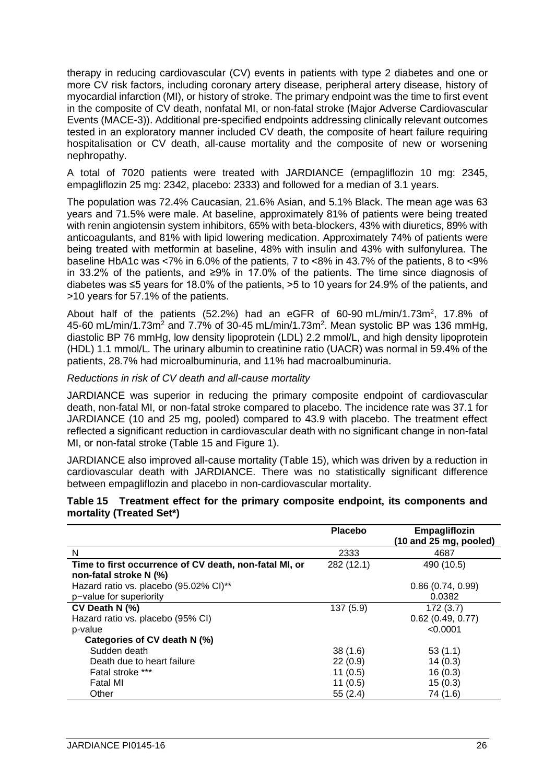therapy in reducing cardiovascular (CV) events in patients with type 2 diabetes and one or more CV risk factors, including coronary artery disease, peripheral artery disease, history of myocardial infarction (MI), or history of stroke. The primary endpoint was the time to first event in the composite of CV death, nonfatal MI, or non-fatal stroke (Major Adverse Cardiovascular Events (MACE-3)). Additional pre-specified endpoints addressing clinically relevant outcomes tested in an exploratory manner included CV death, the composite of heart failure requiring hospitalisation or CV death, all-cause mortality and the composite of new or worsening nephropathy.

A total of 7020 patients were treated with JARDIANCE (empagliflozin 10 mg: 2345, empagliflozin 25 mg: 2342, placebo: 2333) and followed for a median of 3.1 years.

The population was 72.4% Caucasian, 21.6% Asian, and 5.1% Black. The mean age was 63 years and 71.5% were male. At baseline, approximately 81% of patients were being treated with renin angiotensin system inhibitors, 65% with beta-blockers, 43% with diuretics, 89% with anticoagulants, and 81% with lipid lowering medication. Approximately 74% of patients were being treated with metformin at baseline, 48% with insulin and 43% with sulfonylurea. The baseline HbA1c was <7% in 6.0% of the patients, 7 to <8% in 43.7% of the patients, 8 to <9% in 33.2% of the patients, and ≥9% in 17.0% of the patients. The time since diagnosis of diabetes was ≤5 years for 18.0% of the patients, >5 to 10 years for 24.9% of the patients, and >10 years for 57.1% of the patients.

About half of the patients (52.2%) had an eGFR of 60-90 mL/min/1.73m<sup>2</sup>, 17.8% of 45-60 mL/min/1.73m<sup>2</sup> and 7.7% of 30-45 mL/min/1.73m<sup>2</sup>. Mean systolic BP was 136 mmHg, diastolic BP 76 mmHg, low density lipoprotein (LDL) 2.2 mmol/L, and high density lipoprotein (HDL) 1.1 mmol/L. The urinary albumin to creatinine ratio (UACR) was normal in 59.4% of the patients, 28.7% had microalbuminuria, and 11% had macroalbuminuria.

*Reductions in risk of CV death and all-cause mortality*

JARDIANCE was superior in reducing the primary composite endpoint of cardiovascular death, non-fatal MI, or non-fatal stroke compared to placebo. The incidence rate was 37.1 for JARDIANCE (10 and 25 mg, pooled) compared to 43.9 with placebo. The treatment effect reflected a significant reduction in cardiovascular death with no significant change in non-fatal MI, or non-fatal stroke (Table 15 and Figure 1).

JARDIANCE also improved all-cause mortality (Table 15), which was driven by a reduction in cardiovascular death with JARDIANCE. There was no statistically significant difference between empagliflozin and placebo in non-cardiovascular mortality.

|                                                        | <b>Placebo</b> | Empagliflozin<br>$(10$ and 25 mg, pooled) |
|--------------------------------------------------------|----------------|-------------------------------------------|
| N                                                      | 2333           | 4687                                      |
| Time to first occurrence of CV death, non-fatal MI, or | 282 (12.1)     | 490 (10.5)                                |
| non-fatal stroke N (%)                                 |                |                                           |
| Hazard ratio vs. placebo (95.02% CI)**                 |                | 0.86(0.74, 0.99)                          |
| p-value for superiority                                |                | 0.0382                                    |
| CV Death $N$ (%)                                       | 137(5.9)       | 172(3.7)                                  |
| Hazard ratio vs. placebo (95% CI)                      |                | $0.62$ (0.49, 0.77)                       |
| p-value                                                |                | < 0.0001                                  |
| Categories of CV death N (%)                           |                |                                           |
| Sudden death                                           | 38(1.6)        | 53(1.1)                                   |
| Death due to heart failure                             | 22(0.9)        | 14(0.3)                                   |
| Fatal stroke ***                                       | 11(0.5)        | 16(0.3)                                   |
| Fatal MI                                               | 11(0.5)        | 15(0.3)                                   |
| Other                                                  | 55(2.4)        | 74 (1.6)                                  |

| Table 15 Treatment effect for the primary composite endpoint, its components and |  |  |  |  |
|----------------------------------------------------------------------------------|--|--|--|--|
| mortality (Treated Set*)                                                         |  |  |  |  |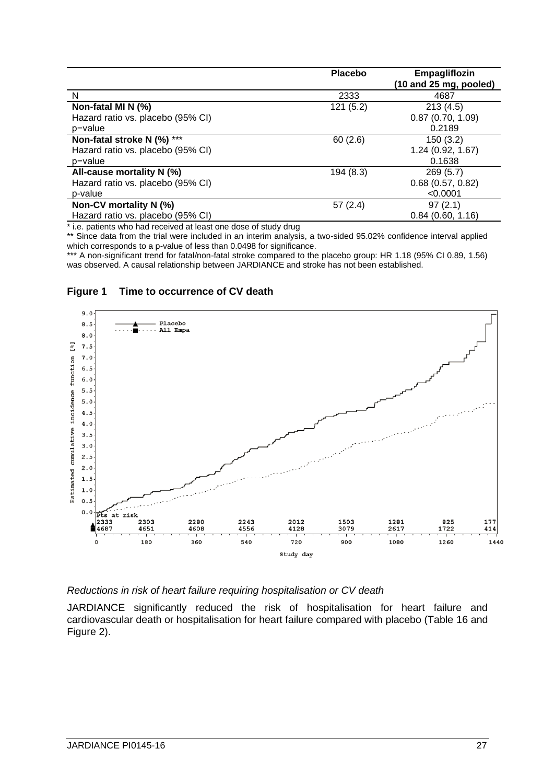|                                   | <b>Placebo</b> | Empagliflozin<br>(10 and 25 mg, pooled) |
|-----------------------------------|----------------|-----------------------------------------|
| N                                 | 2333           | 4687                                    |
| Non-fatal MI N (%)                | 121(5.2)       | 213(4.5)                                |
| Hazard ratio vs. placebo (95% CI) |                | 0.87(0.70, 1.09)                        |
| p-value                           |                | 0.2189                                  |
| Non-fatal stroke N (%) ***        | 60(2.6)        | 150(3.2)                                |
| Hazard ratio vs. placebo (95% CI) |                | 1.24(0.92, 1.67)                        |
| p-value                           |                | 0.1638                                  |
| All-cause mortality N (%)         | 194 (8.3)      | 269(5.7)                                |
| Hazard ratio vs. placebo (95% CI) |                | $0.68$ (0.57, 0.82)                     |
| p-value                           |                | < 0.0001                                |
| Non-CV mortality N (%)            | 57(2.4)        | 97(2.1)                                 |
| Hazard ratio vs. placebo (95% CI) |                | 0.84(0.60, 1.16)                        |

\* i.e. patients who had received at least one dose of study drug

\*\* Since data from the trial were included in an interim analysis, a two-sided 95.02% confidence interval applied which corresponds to a p-value of less than 0.0498 for significance.

\*\*\* A non-significant trend for fatal/non-fatal stroke compared to the placebo group: HR 1.18 (95% CI 0.89, 1.56) was observed. A causal relationship between JARDIANCE and stroke has not been established.

## **Figure 1 Time to occurrence of CV death**



## *Reductions in risk of heart failure requiring hospitalisation or CV death*

JARDIANCE significantly reduced the risk of hospitalisation for heart failure and cardiovascular death or hospitalisation for heart failure compared with placebo (Table 16 and Figure 2).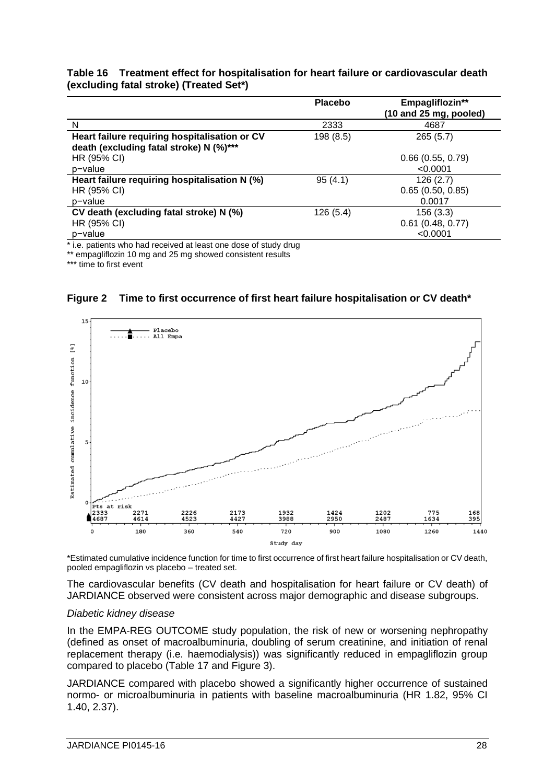| Table 16 Treatment effect for hospitalisation for heart failure or cardiovascular death |
|-----------------------------------------------------------------------------------------|
| (excluding fatal stroke) (Treated Set*)                                                 |

|                                                                                          | <b>Placebo</b> | Empagliflozin**<br>(10 and 25 mg, pooled)   |
|------------------------------------------------------------------------------------------|----------------|---------------------------------------------|
| N                                                                                        | 2333           | 4687                                        |
| Heart failure requiring hospitalisation or CV<br>death (excluding fatal stroke) N (%)*** | 198 (8.5)      | 265(5.7)                                    |
| HR (95% CI)                                                                              |                | 0.66(0.55, 0.79)                            |
| p-value                                                                                  |                | < 0.0001                                    |
| Heart failure requiring hospitalisation N (%)<br>HR (95% CI)<br>p-value                  | 95(4.1)        | 126(2.7)<br>0.65(0.50, 0.85)<br>0.0017      |
| CV death (excluding fatal stroke) N (%)<br>HR (95% CI)<br>p-value                        | 126(5.4)       | 156(3.3)<br>$0.61$ (0.48, 0.77)<br>< 0.0001 |

\* i.e. patients who had received at least one dose of study drug

\*\* empagliflozin 10 mg and 25 mg showed consistent results

\*\*\* time to first event



**Figure 2 Time to first occurrence of first heart failure hospitalisation or CV death\***

\*Estimated cumulative incidence function for time to first occurrence of first heart failure hospitalisation or CV death, pooled empagliflozin vs placebo – treated set.

The cardiovascular benefits (CV death and hospitalisation for heart failure or CV death) of JARDIANCE observed were consistent across major demographic and disease subgroups.

#### *Diabetic kidney disease*

In the EMPA-REG OUTCOME study population, the risk of new or worsening nephropathy (defined as onset of macroalbuminuria, doubling of serum creatinine, and initiation of renal replacement therapy (i.e. haemodialysis)) was significantly reduced in empagliflozin group compared to placebo (Table 17 and Figure 3).

JARDIANCE compared with placebo showed a significantly higher occurrence of sustained normo- or microalbuminuria in patients with baseline macroalbuminuria (HR 1.82, 95% CI 1.40, 2.37).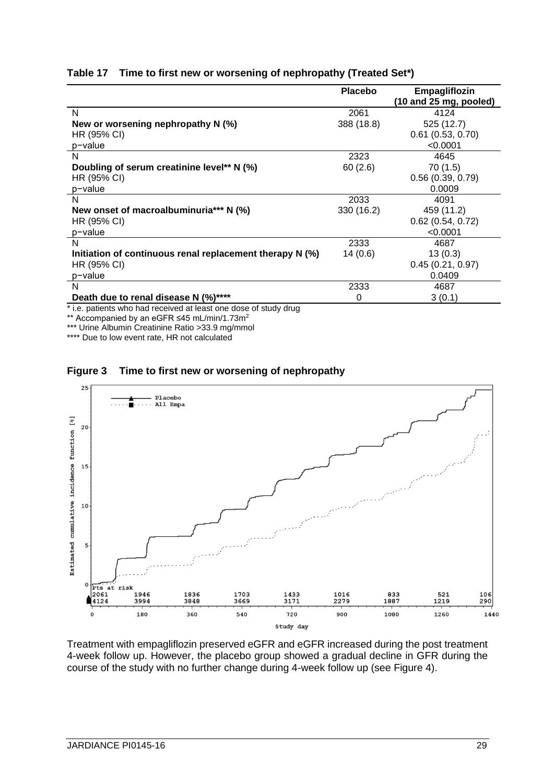|  | Table 17 Time to first new or worsening of nephropathy (Treated Set*) |  |  |  |
|--|-----------------------------------------------------------------------|--|--|--|
|--|-----------------------------------------------------------------------|--|--|--|

|                                                          | <b>Placebo</b> | Empagliflozin<br>$(10$ and 25 mg, pooled) |
|----------------------------------------------------------|----------------|-------------------------------------------|
| N                                                        | 2061           | 4124                                      |
| New or worsening nephropathy N (%)                       | 388 (18.8)     | 525 (12.7)                                |
| HR (95% CI)                                              |                | $0.61$ (0.53, 0.70)                       |
| p-value                                                  |                | < 0.0001                                  |
| N                                                        | 2323           | 4645                                      |
| Doubling of serum creatinine level** N (%)               | 60(2.6)        | 70 (1.5)                                  |
| HR (95% CI)                                              |                | 0.56(0.39, 0.79)                          |
| p-value                                                  |                | 0.0009                                    |
| N                                                        | 2033           | 4091                                      |
| New onset of macroalbuminuria*** N (%)                   | 330 (16.2)     | 459 (11.2)                                |
| HR (95% CI)                                              |                | $0.62$ (0.54, 0.72)                       |
| p-value                                                  |                | < 0.0001                                  |
| N                                                        | 2333           | 4687                                      |
| Initiation of continuous renal replacement therapy N (%) | 14(0.6)        | 13(0.3)                                   |
| HR (95% CI)                                              |                | 0.45(0.21, 0.97)                          |
| p-value                                                  |                | 0.0409                                    |
| N                                                        | 2333           | 4687                                      |
| Death due to renal disease N (%)****                     | 0              | 3(0.1)                                    |

\* i.e. patients who had received at least one dose of study drug

\*\* Accompanied by an eGFR ≤45 mL/min/1.73m<sup>2</sup>

\*\*\* Urine Albumin Creatinine Ratio >33.9 mg/mmol

\*\*\*\* Due to low event rate, HR not calculated





Treatment with empagliflozin preserved eGFR and eGFR increased during the post treatment 4-week follow up. However, the placebo group showed a gradual decline in GFR during the course of the study with no further change during 4-week follow up (see Figure 4).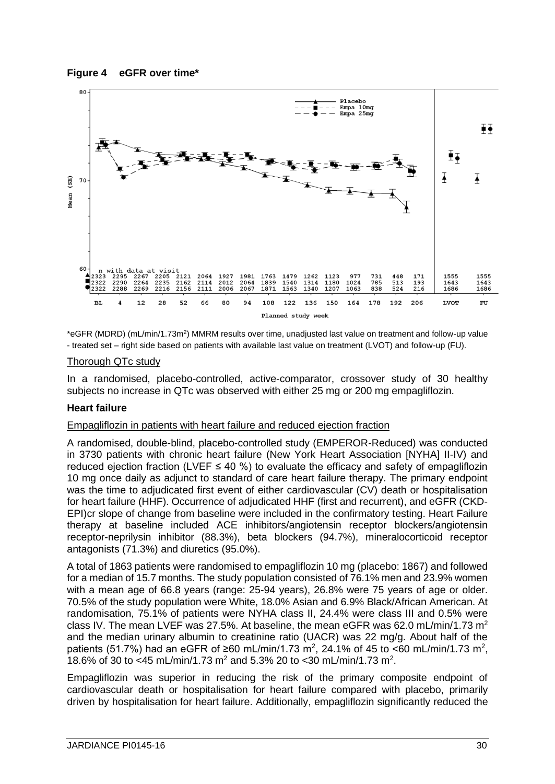



\*eGFR (MDRD) (mL/min/1.73m<sup>2</sup>) MMRM results over time, unadjusted last value on treatment and follow-up value - treated set – right side based on patients with available last value on treatment (LVOT) and follow-up (FU).

## Thorough QTc study

In a randomised, placebo-controlled, active-comparator, crossover study of 30 healthy subjects no increase in QTc was observed with either 25 mg or 200 mg empagliflozin.

## **Heart failure**

# Empagliflozin in patients with heart failure and reduced ejection fraction

A randomised, double-blind, placebo-controlled study (EMPEROR-Reduced) was conducted in 3730 patients with chronic heart failure (New York Heart Association [NYHA] II-IV) and reduced ejection fraction (LVEF  $\leq$  40 %) to evaluate the efficacy and safety of empagliflozin 10 mg once daily as adjunct to standard of care heart failure therapy. The primary endpoint was the time to adjudicated first event of either cardiovascular (CV) death or hospitalisation for heart failure (HHF). Occurrence of adjudicated HHF (first and recurrent), and eGFR (CKD-EPI)cr slope of change from baseline were included in the confirmatory testing. Heart Failure therapy at baseline included ACE inhibitors/angiotensin receptor blockers/angiotensin receptor-neprilysin inhibitor (88.3%), beta blockers (94.7%), mineralocorticoid receptor antagonists (71.3%) and diuretics (95.0%).

A total of 1863 patients were randomised to empagliflozin 10 mg (placebo: 1867) and followed for a median of 15.7 months. The study population consisted of 76.1% men and 23.9% women with a mean age of 66.8 years (range: 25-94 years), 26.8% were 75 years of age or older. 70.5% of the study population were White, 18.0% Asian and 6.9% Black/African American. At randomisation, 75.1% of patients were NYHA class II, 24.4% were class III and 0.5% were class IV. The mean LVEF was 27.5%. At baseline, the mean eGFR was 62.0 mL/min/1.73 m<sup>2</sup> and the median urinary albumin to creatinine ratio (UACR) was 22 mg/g. About half of the patients (51.7%) had an eGFR of ≥60 mL/min/1.73 m<sup>2</sup>, 24.1% of 45 to <60 mL/min/1.73 m<sup>2</sup>, 18.6% of 30 to <45 mL/min/1.73 m<sup>2</sup> and 5.3% 20 to <30 mL/min/1.73 m<sup>2</sup>.

Empagliflozin was superior in reducing the risk of the primary composite endpoint of cardiovascular death or hospitalisation for heart failure compared with placebo, primarily driven by hospitalisation for heart failure. Additionally, empagliflozin significantly reduced the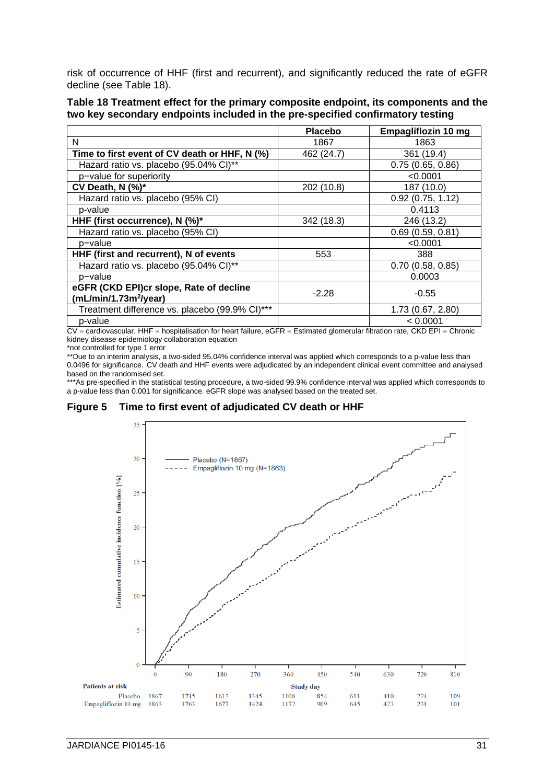risk of occurrence of HHF (first and recurrent), and significantly reduced the rate of eGFR decline (see Table 18).

| Table 18 Treatment effect for the primary composite endpoint, its components and the |  |  |  |  |
|--------------------------------------------------------------------------------------|--|--|--|--|
| two key secondary endpoints included in the pre-specified confirmatory testing       |  |  |  |  |

|                                                                              | <b>Placebo</b> | Empagliflozin 10 mg |
|------------------------------------------------------------------------------|----------------|---------------------|
| N                                                                            | 1867           | 1863                |
| Time to first event of CV death or HHF, N (%)                                | 462 (24.7)     | 361 (19.4)          |
| Hazard ratio vs. placebo (95.04% CI)**                                       |                | 0.75(0.65, 0.86)    |
| p-value for superiority                                                      |                | < 0.0001            |
| CV Death, $N$ (%)*                                                           | 202 (10.8)     | 187 (10.0)          |
| Hazard ratio vs. placebo (95% CI)                                            |                | 0.92(0.75, 1.12)    |
| p-value                                                                      |                | 0.4113              |
| HHF (first occurrence), N (%)*                                               | 342 (18.3)     | 246 (13.2)          |
| Hazard ratio vs. placebo (95% CI)                                            |                | 0.69(0.59, 0.81)    |
| p-value                                                                      |                | < 0.0001            |
| HHF (first and recurrent), N of events                                       | 553            | 388                 |
| Hazard ratio vs. placebo (95.04% CI)**                                       |                | 0.70(0.58, 0.85)    |
| p-value                                                                      |                | 0.0003              |
| eGFR (CKD EPI)cr slope, Rate of decline<br>(mL/min/1.73m <sup>2</sup> /year) | $-2.28$        | $-0.55$             |
| Treatment difference vs. placebo (99.9% CI)***                               |                | 1.73 (0.67, 2.80)   |
| p-value                                                                      |                | < 0.0001            |

CV = cardiovascular, HHF = hospitalisation for heart failure, eGFR = Estimated glomerular filtration rate, CKD EPI = Chronic kidney disease epidemiology collaboration equation

\*not controlled for type 1 error

\*\*Due to an interim analysis, a two-sided 95.04% confidence interval was applied which corresponds to a p-value less than 0.0496 for significance. CV death and HHF events were adjudicated by an independent clinical event committee and analysed based on the randomised set.

\*\*\*As pre-specified in the statistical testing procedure, a two-sided 99.9% confidence interval was applied which corresponds to a p-value less than 0.001 for significance. eGFR slope was analysed based on the treated set.

**Figure 5 Time to first event of adjudicated CV death or HHF**

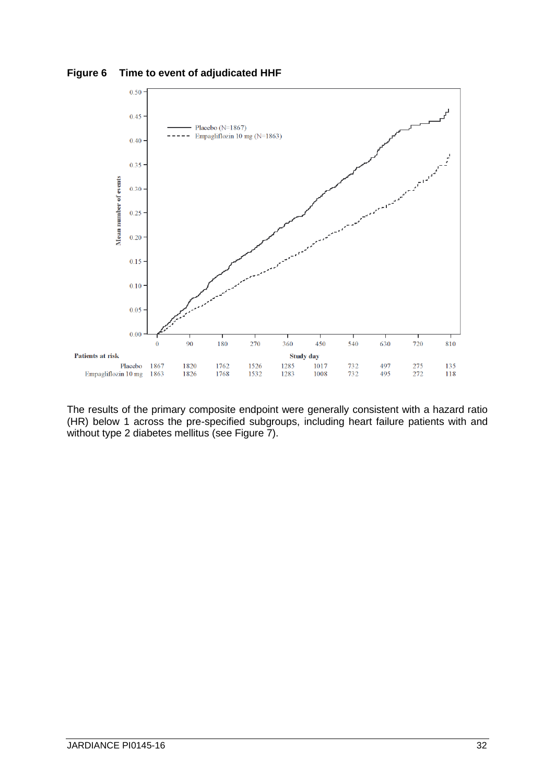



The results of the primary composite endpoint were generally consistent with a hazard ratio (HR) below 1 across the pre-specified subgroups, including heart failure patients with and without type 2 diabetes mellitus (see Figure 7).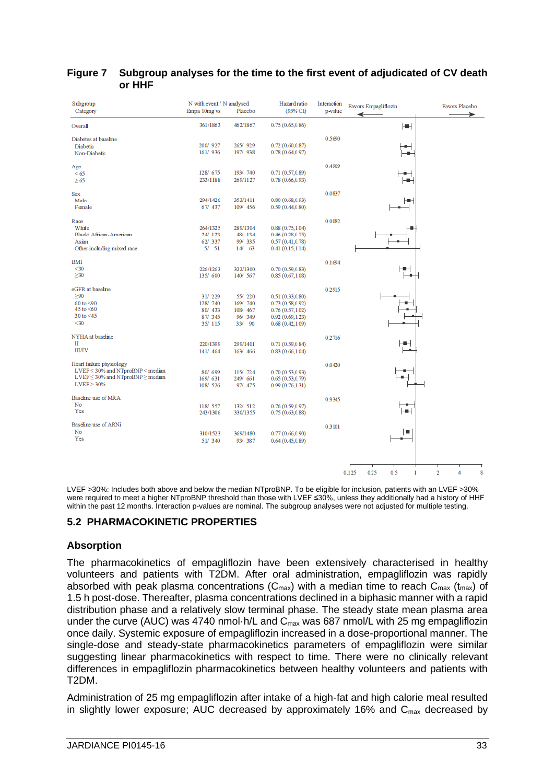| Subgroup<br>Category                        | N with event / N analysed<br>Empa 10mg vs | Placebo  | Hazard ratio<br>(95% CI) | Interaction<br>p-value | Favors Empagliflozin                 | Favors Placebo           |
|---------------------------------------------|-------------------------------------------|----------|--------------------------|------------------------|--------------------------------------|--------------------------|
| Overall                                     | 361/1863                                  | 462/1867 | 0.75(0.65, 0.86)         |                        | Hщ                                   |                          |
| Diabetes at baseline                        |                                           |          |                          | 0.5690                 |                                      |                          |
| Diabetic                                    | 200/927                                   | 265/ 929 | 0.72(0.60, 0.87)         |                        |                                      |                          |
| Non-Diabetic                                | 161/936                                   | 197/ 938 | 0.78(0.64, 0.97)         |                        | ٠                                    |                          |
| Age                                         |                                           |          |                          | 0.4909                 |                                      |                          |
| <65                                         | 128/675                                   | 193/ 740 | 0.71(0.57, 0.89)         |                        |                                      |                          |
| $\geq 65$                                   | 233/1188                                  | 269/1127 | 0.78(0.66, 0.93)         |                        | ⊢                                    |                          |
| <b>Sex</b>                                  |                                           |          |                          | 0.0837                 |                                      |                          |
| Male                                        | 294/1426                                  | 353/1411 | 0.80(0.68, 0.93)         |                        | ⊢                                    |                          |
| Female                                      | 67/ 437                                   | 109/ 456 | 0.59(0.44, 0.80)         |                        |                                      |                          |
| Race                                        |                                           |          |                          | 0.0082                 |                                      |                          |
| White                                       | 264/1325                                  | 289/1304 | 0.88(0.75, 1.04)         |                        |                                      |                          |
| Black/ African-American                     | 24/ 123                                   | 48/ 134  | 0.46(0.28, 0.75)         |                        |                                      |                          |
| Asian                                       | 62/337                                    | 99/335   | 0.57(0.41, 0.78)         |                        |                                      |                          |
| Other including mixed race                  | 5/51                                      | $14V$ 63 | 0.41(0.15, 1.14)         |                        |                                      |                          |
| <b>BMI</b>                                  |                                           |          |                          | 0.1694                 |                                      |                          |
| $30$                                        | 226/1263                                  | 322/1300 | 0.70(0.59, 0.83)         |                        |                                      |                          |
| $\geq 30$                                   | 135/600                                   | 140/ 567 | 0.85(0.67, 1.08)         |                        |                                      |                          |
| eGFR at baseline                            |                                           |          |                          | 0.2915                 |                                      |                          |
| >90                                         | 31/229                                    | 55/220   | 0.51(0.33, 0.80)         |                        |                                      |                          |
| $60$ to $< 90$                              | 128/740                                   | 169/ 740 | 0.73(0.58, 0.92)         |                        |                                      |                          |
| 45 to $<60$                                 | 80/ 433                                   | 108/ 467 | 0.76(0.57,1.02)          |                        |                                      |                          |
| 30 to $<$ 45                                | 87/345                                    | 96/ 349  | 0.92(0.69, 1.23)         |                        |                                      |                          |
| $30$                                        | 35/115                                    | 33/ 90   | 0.68(0.42, 1.09)         |                        |                                      |                          |
| NYHA at baseline                            |                                           |          |                          | 0.2716                 |                                      |                          |
| П                                           | 220/1399                                  | 299/1401 | 0.71(0.59, 0.84)         |                        |                                      |                          |
| <b>III/IV</b>                               | 141/ 464                                  | 163/ 466 | 0.83(0.66, 1.04)         |                        |                                      |                          |
| Heart failure physiology                    |                                           |          |                          | 0.0420                 |                                      |                          |
| $LVEF \leq 30\%$ and NTproBNP < median      | 80/699                                    | 115/ 724 | 0.70(0.53, 0.93)         |                        |                                      |                          |
| $LVEF \leq 30\%$ and NTproBNP $\geq$ median | 169/631                                   | 249/ 661 | 0.65(0.53, 0.79)         |                        |                                      |                          |
| LVEF > 30%                                  | 108/ 526                                  | 97/ 475  | 0.99(0.76, 1.31)         |                        |                                      |                          |
| Baseline use of MRA                         |                                           |          |                          | 0.9345                 |                                      |                          |
| No                                          | 118/ 557                                  | 132/ 512 | 0.76(0.59, 0.97)         |                        |                                      |                          |
| Yes                                         | 243/1306                                  | 330/1355 | 0.75(0.63, 0.88)         |                        |                                      |                          |
| Baseline use of ARNi                        |                                           |          |                          | 0.3101                 |                                      |                          |
| No                                          | 310/1523                                  | 369/1480 | 0.77(0.66, 0.90)         |                        |                                      |                          |
| Yes                                         | 51/340                                    | 93/387   | 0.64(0.45, 0.89)         |                        |                                      |                          |
|                                             |                                           |          |                          |                        |                                      |                          |
|                                             |                                           |          |                          |                        |                                      |                          |
|                                             |                                           |          |                          |                        | 0.5<br>0.125<br>0.25<br>$\mathbf{I}$ | $\overline{2}$<br>8<br>4 |
|                                             |                                           |          |                          |                        |                                      |                          |

## **Figure 7 Subgroup analyses for the time to the first event of adjudicated of CV death or HHF**

LVEF >30%: Includes both above and below the median NTproBNP. To be eligible for inclusion, patients with an LVEF >30% were required to meet a higher NTproBNP threshold than those with LVEF ≤30%, unless they additionally had a history of HHF within the past 12 months. Interaction p-values are nominal. The subgroup analyses were not adjusted for multiple testing.

# **5.2 PHARMACOKINETIC PROPERTIES**

## **Absorption**

The pharmacokinetics of empagliflozin have been extensively characterised in healthy volunteers and patients with T2DM. After oral administration, empagliflozin was rapidly absorbed with peak plasma concentrations ( $C_{max}$ ) with a median time to reach  $C_{max}$  ( $t_{max}$ ) of 1.5 h post-dose. Thereafter, plasma concentrations declined in a biphasic manner with a rapid distribution phase and a relatively slow terminal phase. The steady state mean plasma area under the curve (AUC) was 4740 nmol $\cdot$ h/L and  $C_{\text{max}}$  was 687 nmol/L with 25 mg empagliflozin once daily. Systemic exposure of empagliflozin increased in a dose-proportional manner. The single-dose and steady-state pharmacokinetics parameters of empagliflozin were similar suggesting linear pharmacokinetics with respect to time. There were no clinically relevant differences in empagliflozin pharmacokinetics between healthy volunteers and patients with T2DM.

Administration of 25 mg empagliflozin after intake of a high-fat and high calorie meal resulted in slightly lower exposure; AUC decreased by approximately 16% and  $C_{\text{max}}$  decreased by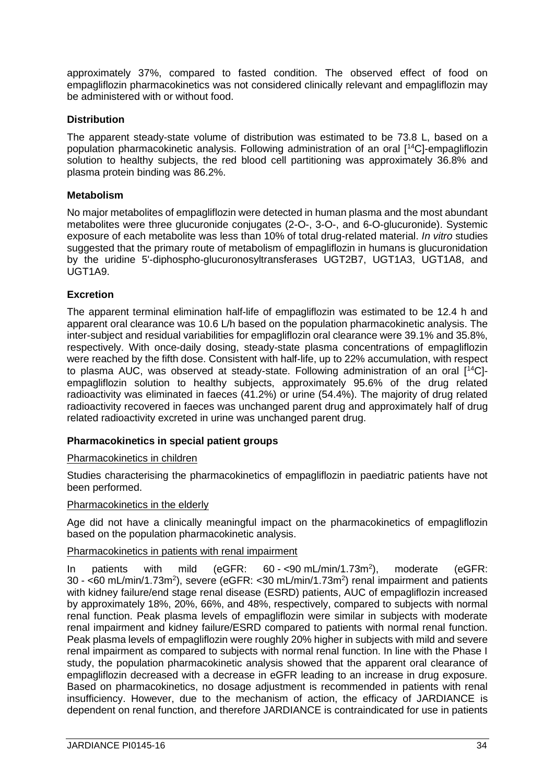approximately 37%, compared to fasted condition. The observed effect of food on empagliflozin pharmacokinetics was not considered clinically relevant and empagliflozin may be administered with or without food.

# **Distribution**

The apparent steady-state volume of distribution was estimated to be 73.8 L, based on a population pharmacokinetic analysis. Following administration of an oral [<sup>14</sup>C]-empagliflozin solution to healthy subjects, the red blood cell partitioning was approximately 36.8% and plasma protein binding was 86.2%.

## **Metabolism**

No major metabolites of empagliflozin were detected in human plasma and the most abundant metabolites were three glucuronide conjugates (2-O-, 3-O-, and 6-O-glucuronide). Systemic exposure of each metabolite was less than 10% of total drug-related material. *In vitro* studies suggested that the primary route of metabolism of empagliflozin in humans is glucuronidation by the uridine 5'-diphospho-glucuronosyltransferases UGT2B7, UGT1A3, UGT1A8, and UGT1A9.

# **Excretion**

The apparent terminal elimination half-life of empagliflozin was estimated to be 12.4 h and apparent oral clearance was 10.6 L/h based on the population pharmacokinetic analysis. The inter-subject and residual variabilities for empagliflozin oral clearance were 39.1% and 35.8%, respectively. With once-daily dosing, steady-state plasma concentrations of empagliflozin were reached by the fifth dose. Consistent with half-life, up to 22% accumulation, with respect to plasma AUC, was observed at steady-state. Following administration of an oral [<sup>14</sup>C] empagliflozin solution to healthy subjects, approximately 95.6% of the drug related radioactivity was eliminated in faeces (41.2%) or urine (54.4%). The majority of drug related radioactivity recovered in faeces was unchanged parent drug and approximately half of drug related radioactivity excreted in urine was unchanged parent drug.

# **Pharmacokinetics in special patient groups**

## Pharmacokinetics in children

Studies characterising the pharmacokinetics of empagliflozin in paediatric patients have not been performed.

## Pharmacokinetics in the elderly

Age did not have a clinically meaningful impact on the pharmacokinetics of empagliflozin based on the population pharmacokinetic analysis.

## Pharmacokinetics in patients with renal impairment

In patients with mild (eGFR:  $60 - 590$  mL/min/1.73m<sup>2</sup>), moderate (eGFR:  $30 - 50$  mL/min/1.73m<sup>2</sup>), severe (eGFR:  $530$  mL/min/1.73m<sup>2</sup>) renal impairment and patients with kidney failure/end stage renal disease (ESRD) patients, AUC of empagliflozin increased by approximately 18%, 20%, 66%, and 48%, respectively, compared to subjects with normal renal function. Peak plasma levels of empagliflozin were similar in subjects with moderate renal impairment and kidney failure/ESRD compared to patients with normal renal function. Peak plasma levels of empagliflozin were roughly 20% higher in subjects with mild and severe renal impairment as compared to subjects with normal renal function. In line with the Phase I study, the population pharmacokinetic analysis showed that the apparent oral clearance of empagliflozin decreased with a decrease in eGFR leading to an increase in drug exposure. Based on pharmacokinetics, no dosage adjustment is recommended in patients with renal insufficiency. However, due to the mechanism of action, the efficacy of JARDIANCE is dependent on renal function, and therefore JARDIANCE is contraindicated for use in patients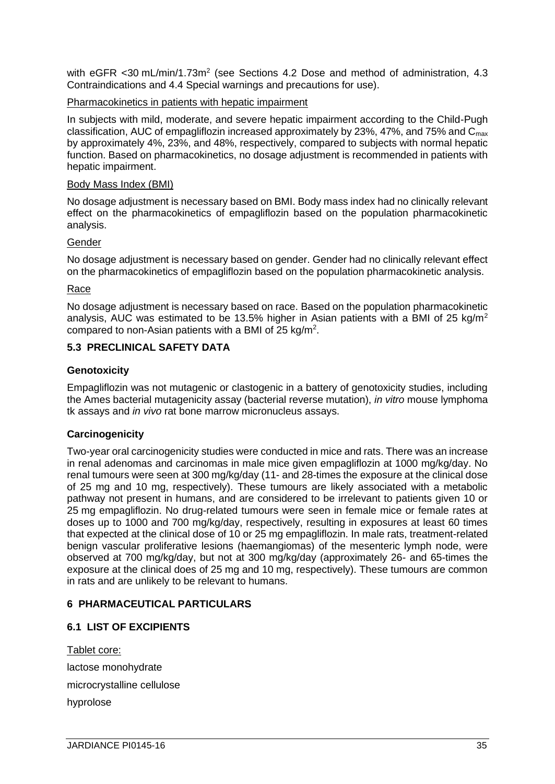with eGFR <30 mL/min/1.73m<sup>2</sup> (see Sections 4.2 Dose and method of administration, 4.3 Contraindications and 4.4 Special warnings and precautions for use).

## Pharmacokinetics in patients with hepatic impairment

In subjects with mild, moderate, and severe hepatic impairment according to the Child-Pugh classification, AUC of empagliflozin increased approximately by 23%, 47%, and 75% and  $C_{\text{max}}$ by approximately 4%, 23%, and 48%, respectively, compared to subjects with normal hepatic function. Based on pharmacokinetics, no dosage adjustment is recommended in patients with hepatic impairment.

#### Body Mass Index (BMI)

No dosage adjustment is necessary based on BMI. Body mass index had no clinically relevant effect on the pharmacokinetics of empagliflozin based on the population pharmacokinetic analysis.

## Gender

No dosage adjustment is necessary based on gender. Gender had no clinically relevant effect on the pharmacokinetics of empagliflozin based on the population pharmacokinetic analysis.

## Race

No dosage adjustment is necessary based on race. Based on the population pharmacokinetic analysis, AUC was estimated to be 13.5% higher in Asian patients with a BMI of 25 kg/m<sup>2</sup> compared to non-Asian patients with a BMI of 25 kg/m<sup>2</sup>.

## **5.3 PRECLINICAL SAFETY DATA**

## **Genotoxicity**

Empagliflozin was not mutagenic or clastogenic in a battery of genotoxicity studies, including the Ames bacterial mutagenicity assay (bacterial reverse mutation), *in vitro* mouse lymphoma tk assays and *in vivo* rat bone marrow micronucleus assays.

## **Carcinogenicity**

Two-year oral carcinogenicity studies were conducted in mice and rats. There was an increase in renal adenomas and carcinomas in male mice given empagliflozin at 1000 mg/kg/day. No renal tumours were seen at 300 mg/kg/day (11- and 28-times the exposure at the clinical dose of 25 mg and 10 mg, respectively). These tumours are likely associated with a metabolic pathway not present in humans, and are considered to be irrelevant to patients given 10 or 25 mg empagliflozin. No drug-related tumours were seen in female mice or female rates at doses up to 1000 and 700 mg/kg/day, respectively, resulting in exposures at least 60 times that expected at the clinical dose of 10 or 25 mg empagliflozin. In male rats, treatment-related benign vascular proliferative lesions (haemangiomas) of the mesenteric lymph node, were observed at 700 mg/kg/day, but not at 300 mg/kg/day (approximately 26- and 65-times the exposure at the clinical does of 25 mg and 10 mg, respectively). These tumours are common in rats and are unlikely to be relevant to humans.

## **6 PHARMACEUTICAL PARTICULARS**

# **6.1 LIST OF EXCIPIENTS**

Tablet core: lactose monohydrate microcrystalline cellulose hyprolose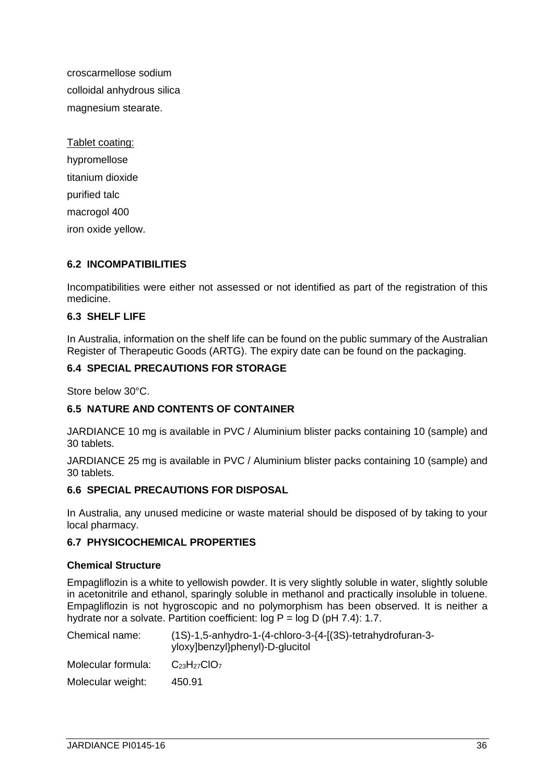croscarmellose sodium colloidal anhydrous silica magnesium stearate.

Tablet coating: hypromellose titanium dioxide purified talc macrogol 400 iron oxide yellow.

# **6.2 INCOMPATIBILITIES**

Incompatibilities were either not assessed or not identified as part of the registration of this medicine.

# **6.3 SHELF LIFE**

In Australia, information on the shelf life can be found on the public summary of the Australian Register of Therapeutic Goods (ARTG). The expiry date can be found on the packaging.

# **6.4 SPECIAL PRECAUTIONS FOR STORAGE**

Store below 30°C.

## **6.5 NATURE AND CONTENTS OF CONTAINER**

JARDIANCE 10 mg is available in PVC / Aluminium blister packs containing 10 (sample) and 30 tablets.

JARDIANCE 25 mg is available in PVC / Aluminium blister packs containing 10 (sample) and 30 tablets.

## **6.6 SPECIAL PRECAUTIONS FOR DISPOSAL**

In Australia, any unused medicine or waste material should be disposed of by taking to your local pharmacy.

## **6.7 PHYSICOCHEMICAL PROPERTIES**

## **Chemical Structure**

Empagliflozin is a white to yellowish powder. It is very slightly soluble in water, slightly soluble in acetonitrile and ethanol, sparingly soluble in methanol and practically insoluble in toluene. Empagliflozin is not hygroscopic and no polymorphism has been observed. It is neither a hydrate nor a solvate. Partition coefficient: log P = log D (pH 7.4): 1.7.

| Chemical name:     | $(1S)-1,5$ -anhydro-1- $(4$ -chloro-3- $\{4-[3S)\}$ -tetrahydrofuran-3-<br>yloxy]benzyl}phenyl)-D-glucitol |
|--------------------|------------------------------------------------------------------------------------------------------------|
| Molecular formula: | $C_{23}H_{27}ClO7$                                                                                         |
| Molecular weight:  | 450.91                                                                                                     |